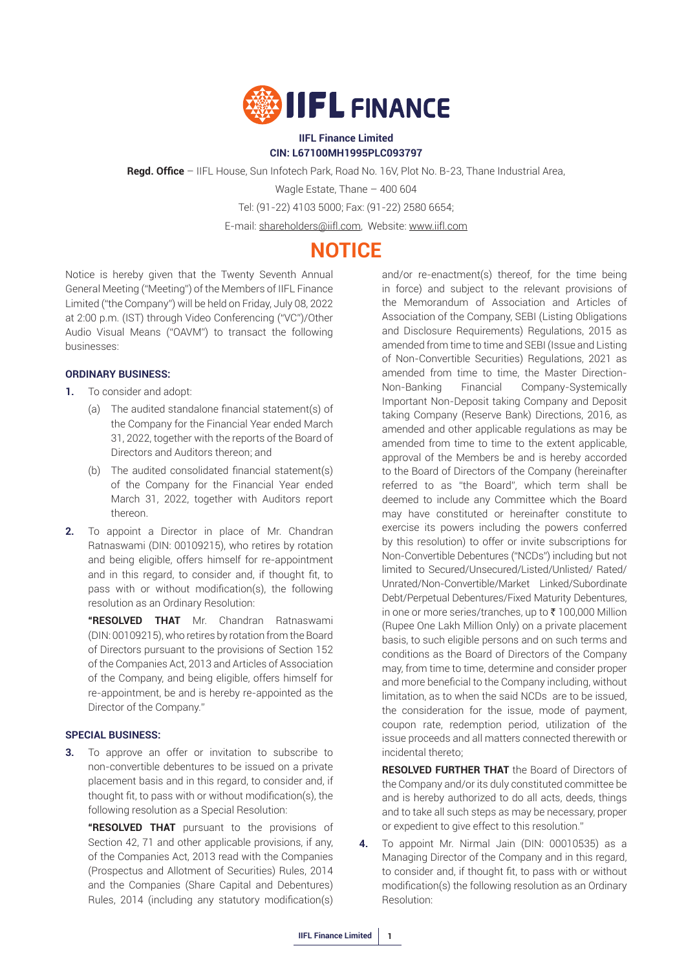

#### **IIFL Finance Limited CIN: L67100MH1995PLC093797**

**Regd. Office** – IIFL House, Sun Infotech Park, Road No. 16V, Plot No. B-23, Thane Industrial Area,

Wagle Estate, Thane – 400 604

Tel: (91-22) 4103 5000; Fax: (91-22) 2580 6654;

E-mail: shareholders@iifl.com, Website: www.iifl.com

## **NOTICE**

Notice is hereby given that the Twenty Seventh Annual General Meeting ("Meeting") of the Members of IIFL Finance Limited ("the Company") will be held on Friday, July 08, 2022 at 2:00 p.m. (IST) through Video Conferencing ("VC")/Other Audio Visual Means ("OAVM") to transact the following businesses:

#### **ORDINARY BUSINESS:**

- **1.** To consider and adopt:
	- (a) The audited standalone financial statement(s) of the Company for the Financial Year ended March 31, 2022, together with the reports of the Board of Directors and Auditors thereon; and
	- (b) The audited consolidated financial statement(s) of the Company for the Financial Year ended March 31, 2022, together with Auditors report thereon.
- **2.** To appoint a Director in place of Mr. Chandran Ratnaswami (DIN: 00109215), who retires by rotation and being eligible, offers himself for re-appointment and in this regard, to consider and, if thought fit, to pass with or without modification(s), the following resolution as an Ordinary Resolution:

 **"RESOLVED THAT** Mr. Chandran Ratnaswami (DIN: 00109215), who retires by rotation from the Board of Directors pursuant to the provisions of Section 152 of the Companies Act, 2013 and Articles of Association of the Company, and being eligible, offers himself for re-appointment, be and is hereby re-appointed as the Director of the Company."

#### **SPECIAL BUSINESS:**

**3.** To approve an offer or invitation to subscribe to non-convertible debentures to be issued on a private placement basis and in this regard, to consider and, if thought fit, to pass with or without modification(s), the following resolution as a Special Resolution:

 **"RESOLVED THAT** pursuant to the provisions of Section 42, 71 and other applicable provisions, if any, of the Companies Act, 2013 read with the Companies (Prospectus and Allotment of Securities) Rules, 2014 and the Companies (Share Capital and Debentures) Rules, 2014 (including any statutory modification(s)

and/or re-enactment(s) thereof, for the time being in force) and subject to the relevant provisions of the Memorandum of Association and Articles of Association of the Company, SEBI (Listing Obligations and Disclosure Requirements) Regulations, 2015 as amended from time to time and SEBI (Issue and Listing of Non-Convertible Securities) Regulations, 2021 as amended from time to time, the Master Direction-Non-Banking Financial Company-Systemically Important Non-Deposit taking Company and Deposit taking Company (Reserve Bank) Directions, 2016, as amended and other applicable regulations as may be amended from time to time to the extent applicable, approval of the Members be and is hereby accorded to the Board of Directors of the Company (hereinafter referred to as "the Board", which term shall be deemed to include any Committee which the Board may have constituted or hereinafter constitute to exercise its powers including the powers conferred by this resolution) to offer or invite subscriptions for Non-Convertible Debentures ("NCDs") including but not limited to Secured/Unsecured/Listed/Unlisted/ Rated/ Unrated/Non-Convertible/Market Linked/Subordinate Debt/Perpetual Debentures/Fixed Maturity Debentures, in one or more series/tranches, up to  $\bar{\tau}$  100,000 Million (Rupee One Lakh Million Only) on a private placement basis, to such eligible persons and on such terms and conditions as the Board of Directors of the Company may, from time to time, determine and consider proper and more beneficial to the Company including, without limitation, as to when the said NCDs are to be issued, the consideration for the issue, mode of payment, coupon rate, redemption period, utilization of the issue proceeds and all matters connected therewith or incidental thereto;

 **RESOLVED FURTHER THAT** the Board of Directors of the Company and/or its duly constituted committee be and is hereby authorized to do all acts, deeds, things and to take all such steps as may be necessary, proper or expedient to give effect to this resolution."

**4.** To appoint Mr. Nirmal Jain (DIN: 00010535) as a Managing Director of the Company and in this regard, to consider and, if thought fit, to pass with or without modification(s) the following resolution as an Ordinary Resolution: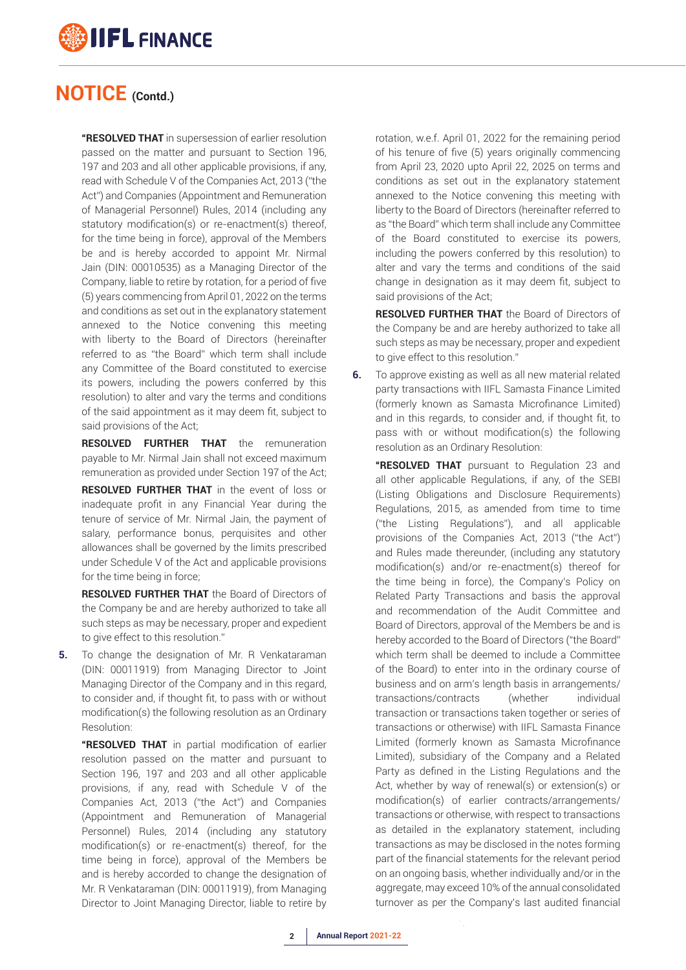

 **"RESOLVED THAT** in supersession of earlier resolution passed on the matter and pursuant to Section 196, 197 and 203 and all other applicable provisions, if any, read with Schedule V of the Companies Act, 2013 ("the Act") and Companies (Appointment and Remuneration of Managerial Personnel) Rules, 2014 (including any statutory modification(s) or re-enactment(s) thereof, for the time being in force), approval of the Members be and is hereby accorded to appoint Mr. Nirmal Jain (DIN: 00010535) as a Managing Director of the Company, liable to retire by rotation, for a period of five (5) years commencing from April 01, 2022 on the terms and conditions as set out in the explanatory statement annexed to the Notice convening this meeting with liberty to the Board of Directors (hereinafter referred to as "the Board" which term shall include any Committee of the Board constituted to exercise its powers, including the powers conferred by this resolution) to alter and vary the terms and conditions of the said appointment as it may deem fit, subject to said provisions of the Act;

**RESOLVED FURTHER THAT** the remuneration payable to Mr. Nirmal Jain shall not exceed maximum remuneration as provided under Section 197 of the Act;

 **RESOLVED FURTHER THAT** in the event of loss or inadequate profit in any Financial Year during the tenure of service of Mr. Nirmal Jain, the payment of salary, performance bonus, perquisites and other allowances shall be governed by the limits prescribed under Schedule V of the Act and applicable provisions for the time being in force;

 **RESOLVED FURTHER THAT** the Board of Directors of the Company be and are hereby authorized to take all such steps as may be necessary, proper and expedient to give effect to this resolution."

**5.** To change the designation of Mr. R Venkataraman (DIN: 00011919) from Managing Director to Joint Managing Director of the Company and in this regard, to consider and, if thought fit, to pass with or without modification(s) the following resolution as an Ordinary Resolution:

 **"RESOLVED THAT** in partial modification of earlier resolution passed on the matter and pursuant to Section 196, 197 and 203 and all other applicable provisions, if any, read with Schedule V of the Companies Act, 2013 ("the Act") and Companies (Appointment and Remuneration of Managerial Personnel) Rules, 2014 (including any statutory modification(s) or re-enactment(s) thereof, for the time being in force), approval of the Members be and is hereby accorded to change the designation of Mr. R Venkataraman (DIN: 00011919), from Managing Director to Joint Managing Director, liable to retire by rotation, w.e.f. April 01, 2022 for the remaining period of his tenure of five (5) years originally commencing from April 23, 2020 upto April 22, 2025 on terms and conditions as set out in the explanatory statement annexed to the Notice convening this meeting with liberty to the Board of Directors (hereinafter referred to as "the Board" which term shall include any Committee of the Board constituted to exercise its powers, including the powers conferred by this resolution) to alter and vary the terms and conditions of the said change in designation as it may deem fit, subject to said provisions of the Act;

**RESOLVED FURTHER THAT** the Board of Directors of the Company be and are hereby authorized to take all such steps as may be necessary, proper and expedient to give effect to this resolution."

**6.** To approve existing as well as all new material related party transactions with IIFL Samasta Finance Limited (formerly known as Samasta Microfinance Limited) and in this regards, to consider and, if thought fit, to pass with or without modification(s) the following resolution as an Ordinary Resolution:

 **"RESOLVED THAT** pursuant to Regulation 23 and all other applicable Regulations, if any, of the SEBI (Listing Obligations and Disclosure Requirements) Regulations, 2015, as amended from time to time ("the Listing Regulations"), and all applicable provisions of the Companies Act, 2013 ("the Act") and Rules made thereunder, (including any statutory modification(s) and/or re-enactment(s) thereof for the time being in force), the Company's Policy on Related Party Transactions and basis the approval and recommendation of the Audit Committee and Board of Directors, approval of the Members be and is hereby accorded to the Board of Directors ("the Board" which term shall be deemed to include a Committee of the Board) to enter into in the ordinary course of business and on arm's length basis in arrangements/ transactions/contracts (whether individual transaction or transactions taken together or series of transactions or otherwise) with IIFL Samasta Finance Limited (formerly known as Samasta Microfinance Limited), subsidiary of the Company and a Related Party as defined in the Listing Regulations and the Act, whether by way of renewal(s) or extension(s) or modification(s) of earlier contracts/arrangements/ transactions or otherwise, with respect to transactions as detailed in the explanatory statement, including transactions as may be disclosed in the notes forming part of the financial statements for the relevant period on an ongoing basis, whether individually and/or in the aggregate, may exceed 10% of the annual consolidated turnover as per the Company's last audited financial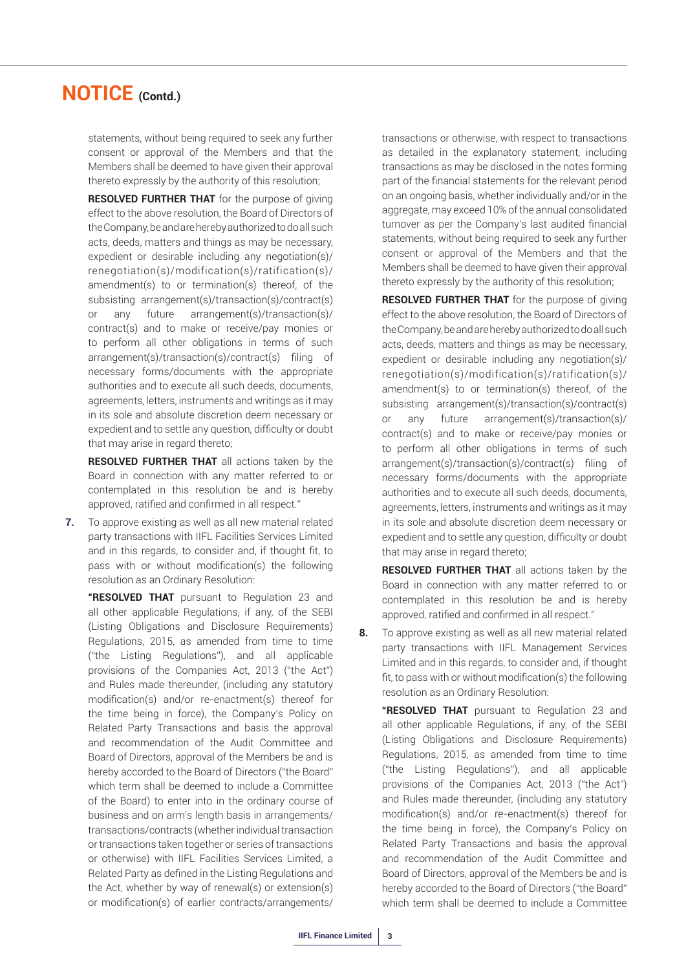statements, without being required to seek any further consent or approval of the Members and that the Members shall be deemed to have given their approval thereto expressly by the authority of this resolution;

**RESOLVED FURTHER THAT** for the purpose of giving effect to the above resolution, the Board of Directors of the Company, be and are hereby authorized to do all such acts, deeds, matters and things as may be necessary, expedient or desirable including any negotiation(s)/ renegotiation(s)/modification(s)/ratification(s)/ amendment(s) to or termination(s) thereof, of the subsisting arrangement(s)/transaction(s)/contract(s) or any future arrangement(s)/transaction(s)/ contract(s) and to make or receive/pay monies or to perform all other obligations in terms of such arrangement(s)/transaction(s)/contract(s) filing of necessary forms/documents with the appropriate authorities and to execute all such deeds, documents, agreements, letters, instruments and writings as it may in its sole and absolute discretion deem necessary or expedient and to settle any question, difficulty or doubt that may arise in regard thereto;

**RESOLVED FURTHER THAT** all actions taken by the Board in connection with any matter referred to or contemplated in this resolution be and is hereby approved, ratified and confirmed in all respect."

**7.** To approve existing as well as all new material related party transactions with IIFL Facilities Services Limited and in this regards, to consider and, if thought fit, to pass with or without modification(s) the following resolution as an Ordinary Resolution:

 **"RESOLVED THAT** pursuant to Regulation 23 and all other applicable Regulations, if any, of the SEBI (Listing Obligations and Disclosure Requirements) Regulations, 2015, as amended from time to time ("the Listing Regulations"), and all applicable provisions of the Companies Act, 2013 ("the Act") and Rules made thereunder, (including any statutory modification(s) and/or re-enactment(s) thereof for the time being in force), the Company's Policy on Related Party Transactions and basis the approval and recommendation of the Audit Committee and Board of Directors, approval of the Members be and is hereby accorded to the Board of Directors ("the Board" which term shall be deemed to include a Committee of the Board) to enter into in the ordinary course of business and on arm's length basis in arrangements/ transactions/contracts (whether individual transaction or transactions taken together or series of transactions or otherwise) with IIFL Facilities Services Limited, a Related Party as defined in the Listing Regulations and the Act, whether by way of renewal(s) or extension(s) or modification(s) of earlier contracts/arrangements/

transactions or otherwise, with respect to transactions as detailed in the explanatory statement, including transactions as may be disclosed in the notes forming part of the financial statements for the relevant period on an ongoing basis, whether individually and/or in the aggregate, may exceed 10% of the annual consolidated turnover as per the Company's last audited financial statements, without being required to seek any further consent or approval of the Members and that the Members shall be deemed to have given their approval thereto expressly by the authority of this resolution;

 **RESOLVED FURTHER THAT** for the purpose of giving effect to the above resolution, the Board of Directors of the Company, be and are hereby authorized to do all such acts, deeds, matters and things as may be necessary, expedient or desirable including any negotiation(s)/ renegotiation(s)/modification(s)/ratification(s)/ amendment(s) to or termination(s) thereof, of the subsisting arrangement(s)/transaction(s)/contract(s) or any future arrangement(s)/transaction(s)/ contract(s) and to make or receive/pay monies or to perform all other obligations in terms of such arrangement(s)/transaction(s)/contract(s) filing of necessary forms/documents with the appropriate authorities and to execute all such deeds, documents, agreements, letters, instruments and writings as it may in its sole and absolute discretion deem necessary or expedient and to settle any question, difficulty or doubt that may arise in regard thereto;

 **RESOLVED FURTHER THAT** all actions taken by the Board in connection with any matter referred to or contemplated in this resolution be and is hereby approved, ratified and confirmed in all respect."

**8.** To approve existing as well as all new material related party transactions with IIFL Management Services Limited and in this regards, to consider and, if thought fit, to pass with or without modification(s) the following resolution as an Ordinary Resolution:

 **"RESOLVED THAT** pursuant to Regulation 23 and all other applicable Regulations, if any, of the SEBI (Listing Obligations and Disclosure Requirements) Regulations, 2015, as amended from time to time ("the Listing Regulations"), and all applicable provisions of the Companies Act, 2013 ("the Act") and Rules made thereunder, (including any statutory modification(s) and/or re-enactment(s) thereof for the time being in force), the Company's Policy on Related Party Transactions and basis the approval and recommendation of the Audit Committee and Board of Directors, approval of the Members be and is hereby accorded to the Board of Directors ("the Board" which term shall be deemed to include a Committee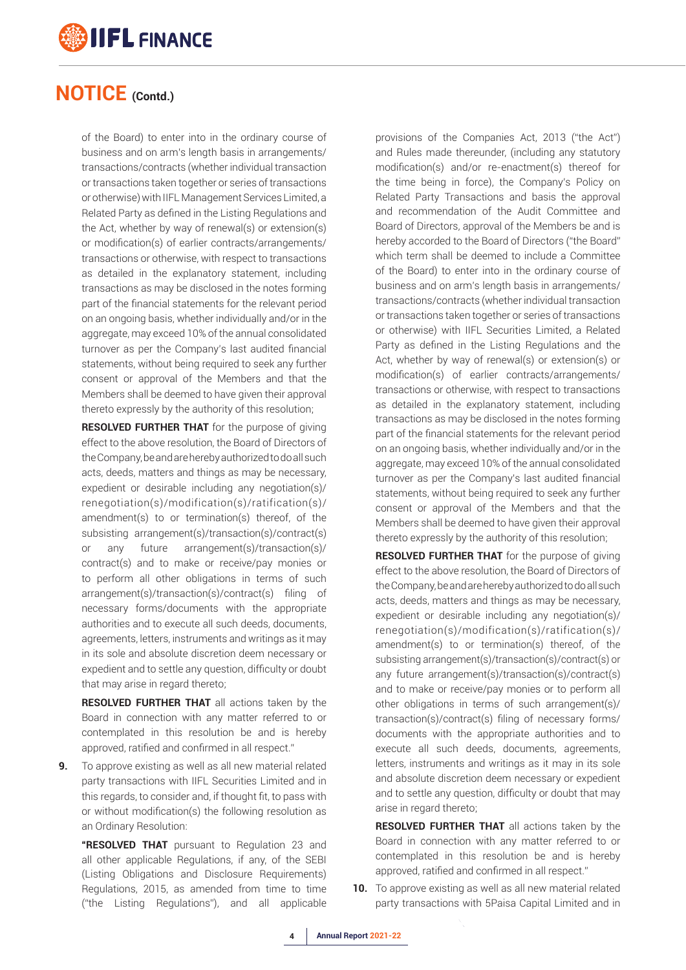

of the Board) to enter into in the ordinary course of business and on arm's length basis in arrangements/ transactions/contracts (whether individual transaction or transactions taken together or series of transactions or otherwise) with IIFL Management Services Limited, a Related Party as defined in the Listing Regulations and the Act, whether by way of renewal(s) or extension(s) or modification(s) of earlier contracts/arrangements/ transactions or otherwise, with respect to transactions as detailed in the explanatory statement, including transactions as may be disclosed in the notes forming part of the financial statements for the relevant period on an ongoing basis, whether individually and/or in the aggregate, may exceed 10% of the annual consolidated turnover as per the Company's last audited financial statements, without being required to seek any further consent or approval of the Members and that the Members shall be deemed to have given their approval thereto expressly by the authority of this resolution;

 **RESOLVED FURTHER THAT** for the purpose of giving effect to the above resolution, the Board of Directors of the Company, be and are hereby authorized to do all such acts, deeds, matters and things as may be necessary, expedient or desirable including any negotiation(s)/ renegotiation(s)/modification(s)/ratification(s)/ amendment(s) to or termination(s) thereof, of the subsisting arrangement(s)/transaction(s)/contract(s) or any future arrangement(s)/transaction(s)/ contract(s) and to make or receive/pay monies or to perform all other obligations in terms of such arrangement(s)/transaction(s)/contract(s) filing of necessary forms/documents with the appropriate authorities and to execute all such deeds, documents, agreements, letters, instruments and writings as it may in its sole and absolute discretion deem necessary or expedient and to settle any question, difficulty or doubt that may arise in regard thereto;

 **RESOLVED FURTHER THAT** all actions taken by the Board in connection with any matter referred to or contemplated in this resolution be and is hereby approved, ratified and confirmed in all respect."

**9.** To approve existing as well as all new material related party transactions with IIFL Securities Limited and in this regards, to consider and, if thought fit, to pass with or without modification(s) the following resolution as an Ordinary Resolution:

 **"RESOLVED THAT** pursuant to Regulation 23 and all other applicable Regulations, if any, of the SEBI (Listing Obligations and Disclosure Requirements) Regulations, 2015, as amended from time to time ("the Listing Regulations"), and all applicable provisions of the Companies Act, 2013 ("the Act") and Rules made thereunder, (including any statutory modification(s) and/or re-enactment(s) thereof for the time being in force), the Company's Policy on Related Party Transactions and basis the approval and recommendation of the Audit Committee and Board of Directors, approval of the Members be and is hereby accorded to the Board of Directors ("the Board" which term shall be deemed to include a Committee of the Board) to enter into in the ordinary course of business and on arm's length basis in arrangements/ transactions/contracts (whether individual transaction or transactions taken together or series of transactions or otherwise) with IIFL Securities Limited, a Related Party as defined in the Listing Regulations and the Act, whether by way of renewal(s) or extension(s) or modification(s) of earlier contracts/arrangements/ transactions or otherwise, with respect to transactions as detailed in the explanatory statement, including transactions as may be disclosed in the notes forming part of the financial statements for the relevant period on an ongoing basis, whether individually and/or in the aggregate, may exceed 10% of the annual consolidated turnover as per the Company's last audited financial statements, without being required to seek any further consent or approval of the Members and that the Members shall be deemed to have given their approval thereto expressly by the authority of this resolution;

 **RESOLVED FURTHER THAT** for the purpose of giving effect to the above resolution, the Board of Directors of the Company, be and are hereby authorized to do all such acts, deeds, matters and things as may be necessary, expedient or desirable including any negotiation(s)/ renegotiation(s)/modification(s)/ratification(s)/ amendment(s) to or termination(s) thereof, of the subsisting arrangement(s)/transaction(s)/contract(s) or any future arrangement(s)/transaction(s)/contract(s) and to make or receive/pay monies or to perform all other obligations in terms of such arrangement(s)/ transaction(s)/contract(s) filing of necessary forms/ documents with the appropriate authorities and to execute all such deeds, documents, agreements, letters, instruments and writings as it may in its sole and absolute discretion deem necessary or expedient and to settle any question, difficulty or doubt that may arise in regard thereto;

 **RESOLVED FURTHER THAT** all actions taken by the Board in connection with any matter referred to or contemplated in this resolution be and is hereby approved, ratified and confirmed in all respect."

**10.** To approve existing as well as all new material related party transactions with 5Paisa Capital Limited and in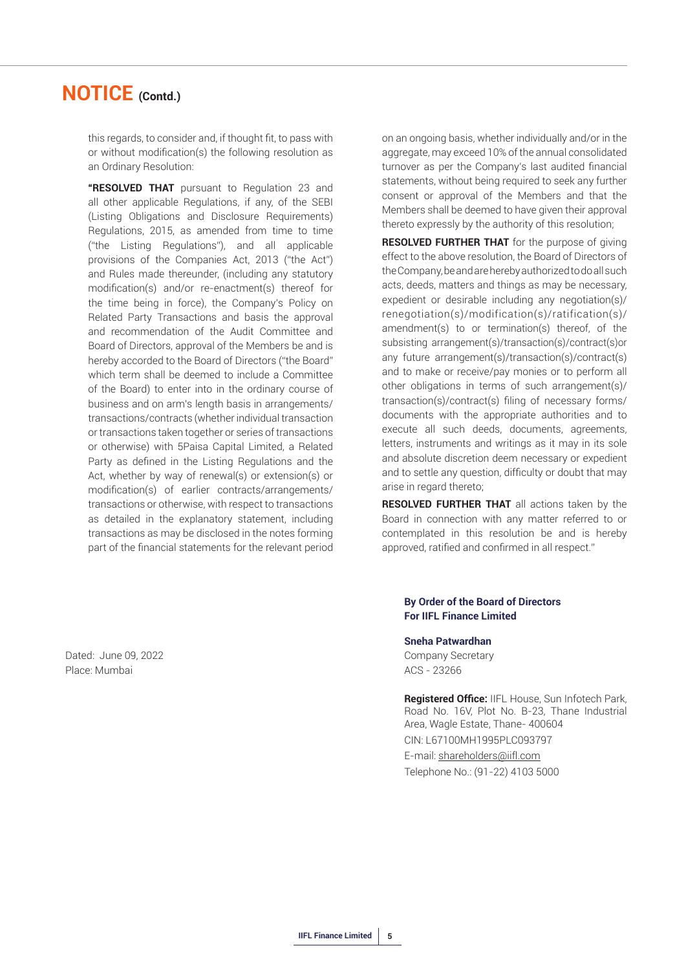this regards, to consider and, if thought fit, to pass with or without modification(s) the following resolution as an Ordinary Resolution:

 **"RESOLVED THAT** pursuant to Regulation 23 and all other applicable Regulations, if any, of the SEBI (Listing Obligations and Disclosure Requirements) Regulations, 2015, as amended from time to time ("the Listing Regulations"), and all applicable provisions of the Companies Act, 2013 ("the Act") and Rules made thereunder, (including any statutory modification(s) and/or re-enactment(s) thereof for the time being in force), the Company's Policy on Related Party Transactions and basis the approval and recommendation of the Audit Committee and Board of Directors, approval of the Members be and is hereby accorded to the Board of Directors ("the Board" which term shall be deemed to include a Committee of the Board) to enter into in the ordinary course of business and on arm's length basis in arrangements/ transactions/contracts (whether individual transaction or transactions taken together or series of transactions or otherwise) with 5Paisa Capital Limited, a Related Party as defined in the Listing Regulations and the Act, whether by way of renewal(s) or extension(s) or modification(s) of earlier contracts/arrangements/ transactions or otherwise, with respect to transactions as detailed in the explanatory statement, including transactions as may be disclosed in the notes forming part of the financial statements for the relevant period

Dated: June 09, 2022 Company Secretary Place: Mumbai ACS - 23266

on an ongoing basis, whether individually and/or in the aggregate, may exceed 10% of the annual consolidated turnover as per the Company's last audited financial statements, without being required to seek any further consent or approval of the Members and that the Members shall be deemed to have given their approval thereto expressly by the authority of this resolution;

 **RESOLVED FURTHER THAT** for the purpose of giving effect to the above resolution, the Board of Directors of the Company, be and are hereby authorized to do all such acts, deeds, matters and things as may be necessary, expedient or desirable including any negotiation(s)/ renegotiation(s)/modification(s)/ratification(s)/ amendment(s) to or termination(s) thereof, of the subsisting arrangement(s)/transaction(s)/contract(s)or any future arrangement(s)/transaction(s)/contract(s) and to make or receive/pay monies or to perform all other obligations in terms of such arrangement(s)/ transaction(s)/contract(s) filing of necessary forms/ documents with the appropriate authorities and to execute all such deeds, documents, agreements, letters, instruments and writings as it may in its sole and absolute discretion deem necessary or expedient and to settle any question, difficulty or doubt that may arise in regard thereto;

 **RESOLVED FURTHER THAT** all actions taken by the Board in connection with any matter referred to or contemplated in this resolution be and is hereby approved, ratified and confirmed in all respect."

#### **By Order of the Board of Directors For IIFL Finance Limited**

**Sneha Patwardhan**

**Registered Office:** IIFL House, Sun Infotech Park, Road No. 16V, Plot No. B-23, Thane Industrial Area, Wagle Estate, Thane- 400604 CIN: L67100MH1995PLC093797 E-mail: shareholders@iifl.com Telephone No.: (91-22) 4103 5000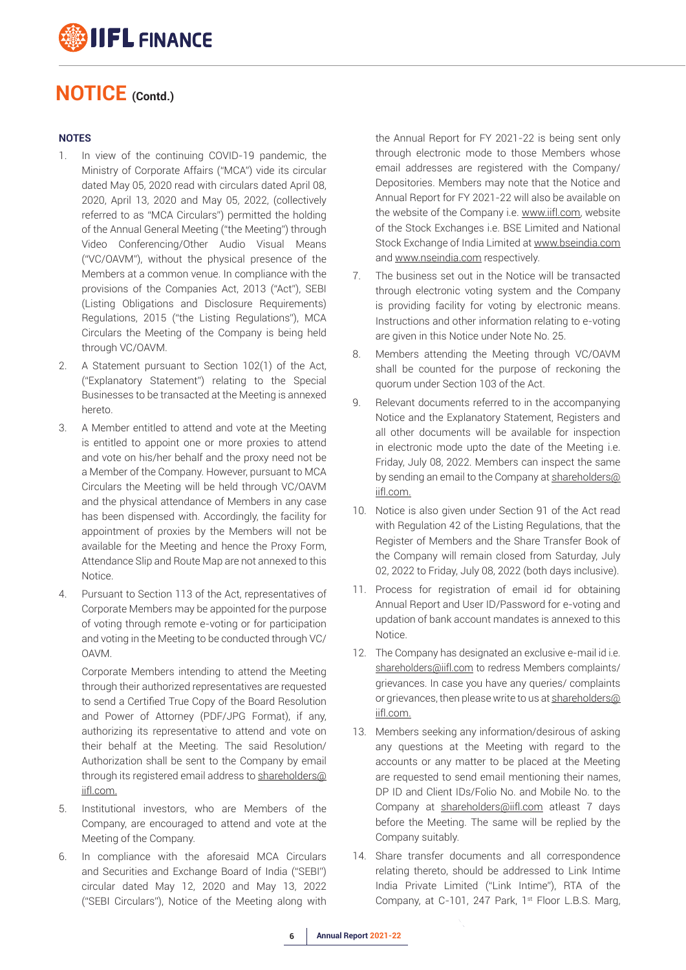

#### **NOTES**

- 1. In view of the continuing COVID-19 pandemic, the Ministry of Corporate Affairs ("MCA") vide its circular dated May 05, 2020 read with circulars dated April 08, 2020, April 13, 2020 and May 05, 2022, (collectively referred to as "MCA Circulars") permitted the holding of the Annual General Meeting ("the Meeting") through Video Conferencing/Other Audio Visual Means ("VC/OAVM"), without the physical presence of the Members at a common venue. In compliance with the provisions of the Companies Act, 2013 ("Act"), SEBI (Listing Obligations and Disclosure Requirements) Regulations, 2015 ("the Listing Regulations"), MCA Circulars the Meeting of the Company is being held through VC/OAVM.
- 2. A Statement pursuant to Section 102(1) of the Act, ("Explanatory Statement") relating to the Special Businesses to be transacted at the Meeting is annexed hereto.
- 3. A Member entitled to attend and vote at the Meeting is entitled to appoint one or more proxies to attend and vote on his/her behalf and the proxy need not be a Member of the Company. However, pursuant to MCA Circulars the Meeting will be held through VC/OAVM and the physical attendance of Members in any case has been dispensed with. Accordingly, the facility for appointment of proxies by the Members will not be available for the Meeting and hence the Proxy Form, Attendance Slip and Route Map are not annexed to this Notice.
- 4. Pursuant to Section 113 of the Act, representatives of Corporate Members may be appointed for the purpose of voting through remote e-voting or for participation and voting in the Meeting to be conducted through VC/ OAVM.

 Corporate Members intending to attend the Meeting through their authorized representatives are requested to send a Certified True Copy of the Board Resolution and Power of Attorney (PDF/JPG Format), if any, authorizing its representative to attend and vote on their behalf at the Meeting. The said Resolution/ Authorization shall be sent to the Company by email through its registered email address to shareholders@ iifl.com.

- 5. Institutional investors, who are Members of the Company, are encouraged to attend and vote at the Meeting of the Company.
- 6. In compliance with the aforesaid MCA Circulars and Securities and Exchange Board of India ("SEBI") circular dated May 12, 2020 and May 13, 2022 ("SEBI Circulars"), Notice of the Meeting along with

the Annual Report for FY 2021-22 is being sent only through electronic mode to those Members whose email addresses are registered with the Company/ Depositories. Members may note that the Notice and Annual Report for FY 2021-22 will also be available on the website of the Company i.e. www.iifl.com, website of the Stock Exchanges i.e. BSE Limited and National Stock Exchange of India Limited at www.bseindia.com and www.nseindia.com respectively.

- 7. The business set out in the Notice will be transacted through electronic voting system and the Company is providing facility for voting by electronic means. Instructions and other information relating to e-voting are given in this Notice under Note No. 25.
- 8. Members attending the Meeting through VC/OAVM shall be counted for the purpose of reckoning the quorum under Section 103 of the Act.
- 9. Relevant documents referred to in the accompanying Notice and the Explanatory Statement, Registers and all other documents will be available for inspection in electronic mode upto the date of the Meeting i.e. Friday, July 08, 2022. Members can inspect the same by sending an email to the Company at shareholders@ iifl.com.
- 10. Notice is also given under Section 91 of the Act read with Regulation 42 of the Listing Regulations, that the Register of Members and the Share Transfer Book of the Company will remain closed from Saturday, July 02, 2022 to Friday, July 08, 2022 (both days inclusive).
- 11. Process for registration of email id for obtaining Annual Report and User ID/Password for e-voting and updation of bank account mandates is annexed to this Notice.
- 12. The Company has designated an exclusive e-mail id i.e. shareholders@iifl.com to redress Members complaints/ grievances. In case you have any queries/ complaints or grievances, then please write to us at shareholders@ iifl.com.
- 13. Members seeking any information/desirous of asking any questions at the Meeting with regard to the accounts or any matter to be placed at the Meeting are requested to send email mentioning their names, DP ID and Client IDs/Folio No. and Mobile No. to the Company at shareholders@iifl.com atleast 7 days before the Meeting. The same will be replied by the Company suitably.
- 14. Share transfer documents and all correspondence relating thereto, should be addressed to Link Intime India Private Limited ("Link Intime"), RTA of the Company, at C-101, 247 Park, 1<sup>st</sup> Floor L.B.S. Marg,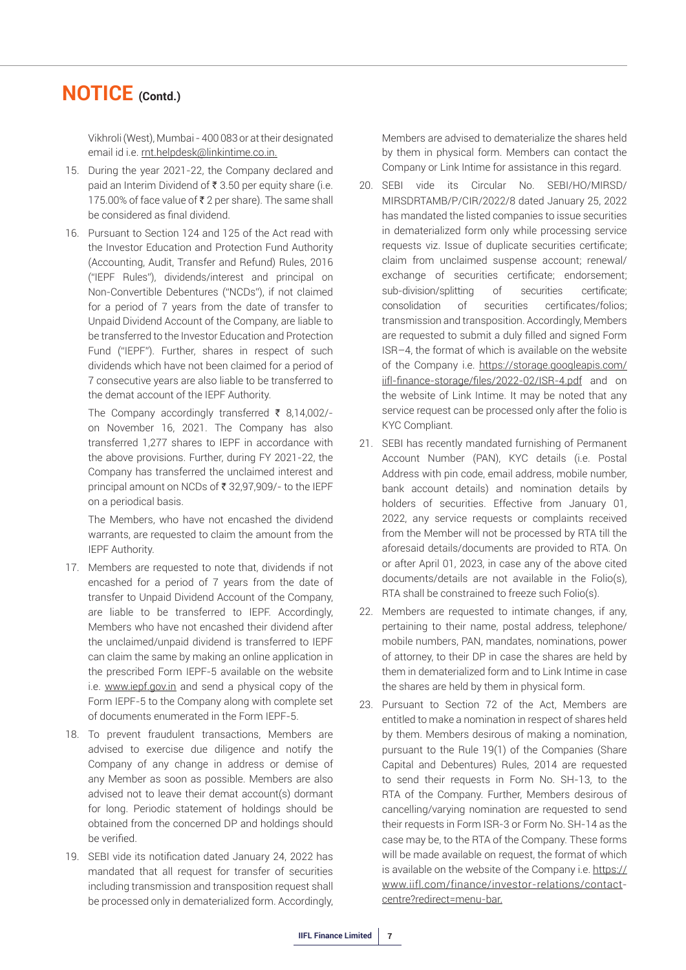Vikhroli (West), Mumbai - 400 083 or at their designated email id i.e. rnt.helpdesk@linkintime.co.in.

- 15. During the year 2021-22, the Company declared and paid an Interim Dividend of  $\bar{\tau}$  3.50 per equity share (i.e. 175.00% of face value of  $\bar{\tau}$  2 per share). The same shall be considered as final dividend.
- 16. Pursuant to Section 124 and 125 of the Act read with the Investor Education and Protection Fund Authority (Accounting, Audit, Transfer and Refund) Rules, 2016 ("IEPF Rules"), dividends/interest and principal on Non-Convertible Debentures ("NCDs"), if not claimed for a period of 7 years from the date of transfer to Unpaid Dividend Account of the Company, are liable to be transferred to the Investor Education and Protection Fund ("IEPF"). Further, shares in respect of such dividends which have not been claimed for a period of 7 consecutive years are also liable to be transferred to the demat account of the IEPF Authority.

The Company accordingly transferred  $\bar{\tau}$  8,14,002/on November 16, 2021. The Company has also transferred 1,277 shares to IEPF in accordance with the above provisions. Further, during FY 2021-22, the Company has transferred the unclaimed interest and principal amount on NCDs of  $\bar{\tau}$  32,97,909/- to the IEPF on a periodical basis.

 The Members, who have not encashed the dividend warrants, are requested to claim the amount from the IEPF Authority.

- 17. Members are requested to note that, dividends if not encashed for a period of 7 years from the date of transfer to Unpaid Dividend Account of the Company, are liable to be transferred to IEPF. Accordingly, Members who have not encashed their dividend after the unclaimed/unpaid dividend is transferred to IEPF can claim the same by making an online application in the prescribed Form IEPF-5 available on the website i.e. www.iepf.gov.in and send a physical copy of the Form IEPF-5 to the Company along with complete set of documents enumerated in the Form IEPF-5.
- 18. To prevent fraudulent transactions, Members are advised to exercise due diligence and notify the Company of any change in address or demise of any Member as soon as possible. Members are also advised not to leave their demat account(s) dormant for long. Periodic statement of holdings should be obtained from the concerned DP and holdings should be verified.
- 19. SEBI vide its notification dated January 24, 2022 has mandated that all request for transfer of securities including transmission and transposition request shall be processed only in dematerialized form. Accordingly,

Members are advised to dematerialize the shares held by them in physical form. Members can contact the Company or Link Intime for assistance in this regard.

- 20. SEBI vide its Circular No. SEBI/HO/MIRSD/ MIRSDRTAMB/P/CIR/2022/8 dated January 25, 2022 has mandated the listed companies to issue securities in dematerialized form only while processing service requests viz. Issue of duplicate securities certificate; claim from unclaimed suspense account; renewal/ exchange of securities certificate; endorsement; sub-division/splitting of securities certificate; consolidation of securities certificates/folios; transmission and transposition. Accordingly, Members are requested to submit a duly filled and signed Form ISR–4, the format of which is available on the website of the Company i.e. https://storage.googleapis.com/ iifl-finance-storage/files/2022-02/ISR-4.pdf and on the website of Link Intime. It may be noted that any service request can be processed only after the folio is KYC Compliant.
- 21. SEBI has recently mandated furnishing of Permanent Account Number (PAN), KYC details (i.e. Postal Address with pin code, email address, mobile number, bank account details) and nomination details by holders of securities. Effective from January 01, 2022, any service requests or complaints received from the Member will not be processed by RTA till the aforesaid details/documents are provided to RTA. On or after April 01, 2023, in case any of the above cited documents/details are not available in the Folio(s), RTA shall be constrained to freeze such Folio(s).
- 22. Members are requested to intimate changes, if any, pertaining to their name, postal address, telephone/ mobile numbers, PAN, mandates, nominations, power of attorney, to their DP in case the shares are held by them in dematerialized form and to Link Intime in case the shares are held by them in physical form.
- 23. Pursuant to Section 72 of the Act, Members are entitled to make a nomination in respect of shares held by them. Members desirous of making a nomination, pursuant to the Rule 19(1) of the Companies (Share Capital and Debentures) Rules, 2014 are requested to send their requests in Form No. SH-13, to the RTA of the Company. Further, Members desirous of cancelling/varying nomination are requested to send their requests in Form ISR-3 or Form No. SH-14 as the case may be, to the RTA of the Company. These forms will be made available on request, the format of which is available on the website of the Company i.e. https:// www.iifl.com/finance/investor-relations/contactcentre?redirect=menu-bar.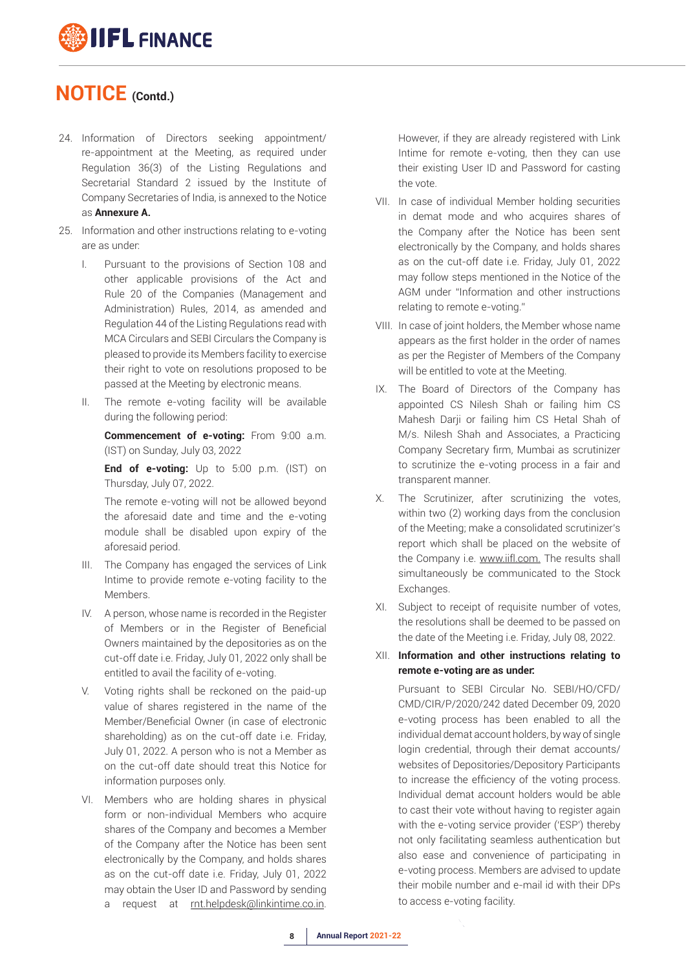# **IIFL FINANCE**

### **NOTICE (Contd.)**

- 24. Information of Directors seeking appointment/ re-appointment at the Meeting, as required under Regulation 36(3) of the Listing Regulations and Secretarial Standard 2 issued by the Institute of Company Secretaries of India, is annexed to the Notice as **Annexure A.**
- 25. Information and other instructions relating to e-voting are as under:
	- I. Pursuant to the provisions of Section 108 and other applicable provisions of the Act and Rule 20 of the Companies (Management and Administration) Rules, 2014, as amended and Regulation 44 of the Listing Regulations read with MCA Circulars and SEBI Circulars the Company is pleased to provide its Members facility to exercise their right to vote on resolutions proposed to be passed at the Meeting by electronic means.
	- II. The remote e-voting facility will be available during the following period:

 **Commencement of e-voting:** From 9:00 a.m. (IST) on Sunday, July 03, 2022

 **End of e-voting:** Up to 5:00 p.m. (IST) on Thursday, July 07, 2022.

 The remote e-voting will not be allowed beyond the aforesaid date and time and the e-voting module shall be disabled upon expiry of the aforesaid period.

- III. The Company has engaged the services of Link Intime to provide remote e-voting facility to the Members.
- IV. A person, whose name is recorded in the Register of Members or in the Register of Beneficial Owners maintained by the depositories as on the cut-off date i.e. Friday, July 01, 2022 only shall be entitled to avail the facility of e-voting.
- V. Voting rights shall be reckoned on the paid-up value of shares registered in the name of the Member/Beneficial Owner (in case of electronic shareholding) as on the cut-off date i.e. Friday, July 01, 2022. A person who is not a Member as on the cut-off date should treat this Notice for information purposes only.
- VI. Members who are holding shares in physical form or non-individual Members who acquire shares of the Company and becomes a Member of the Company after the Notice has been sent electronically by the Company, and holds shares as on the cut-off date i.e. Friday, July 01, 2022 may obtain the User ID and Password by sending request at rnt.helpdesk@linkintime.co.in.

However, if they are already registered with Link Intime for remote e-voting, then they can use their existing User ID and Password for casting the vote.

- VII. In case of individual Member holding securities in demat mode and who acquires shares of the Company after the Notice has been sent electronically by the Company, and holds shares as on the cut-off date i.e. Friday, July 01, 2022 may follow steps mentioned in the Notice of the AGM under "Information and other instructions relating to remote e-voting."
- VIII. In case of joint holders, the Member whose name appears as the first holder in the order of names as per the Register of Members of the Company will be entitled to vote at the Meeting.
- IX. The Board of Directors of the Company has appointed CS Nilesh Shah or failing him CS Mahesh Darji or failing him CS Hetal Shah of M/s. Nilesh Shah and Associates, a Practicing Company Secretary firm, Mumbai as scrutinizer to scrutinize the e-voting process in a fair and transparent manner.
- X. The Scrutinizer, after scrutinizing the votes, within two (2) working days from the conclusion of the Meeting; make a consolidated scrutinizer's report which shall be placed on the website of the Company i.e. www.iifl.com. The results shall simultaneously be communicated to the Stock Exchanges.
- XI. Subject to receipt of requisite number of votes, the resolutions shall be deemed to be passed on the date of the Meeting i.e. Friday, July 08, 2022.
- XII. **Information and other instructions relating to remote e-voting are as under:**

 Pursuant to SEBI Circular No. SEBI/HO/CFD/ CMD/CIR/P/2020/242 dated December 09, 2020 e-voting process has been enabled to all the individual demat account holders, by way of single login credential, through their demat accounts/ websites of Depositories/Depository Participants to increase the efficiency of the voting process. Individual demat account holders would be able to cast their vote without having to register again with the e-voting service provider ('ESP') thereby not only facilitating seamless authentication but also ease and convenience of participating in e-voting process. Members are advised to update their mobile number and e-mail id with their DPs to access e-voting facility.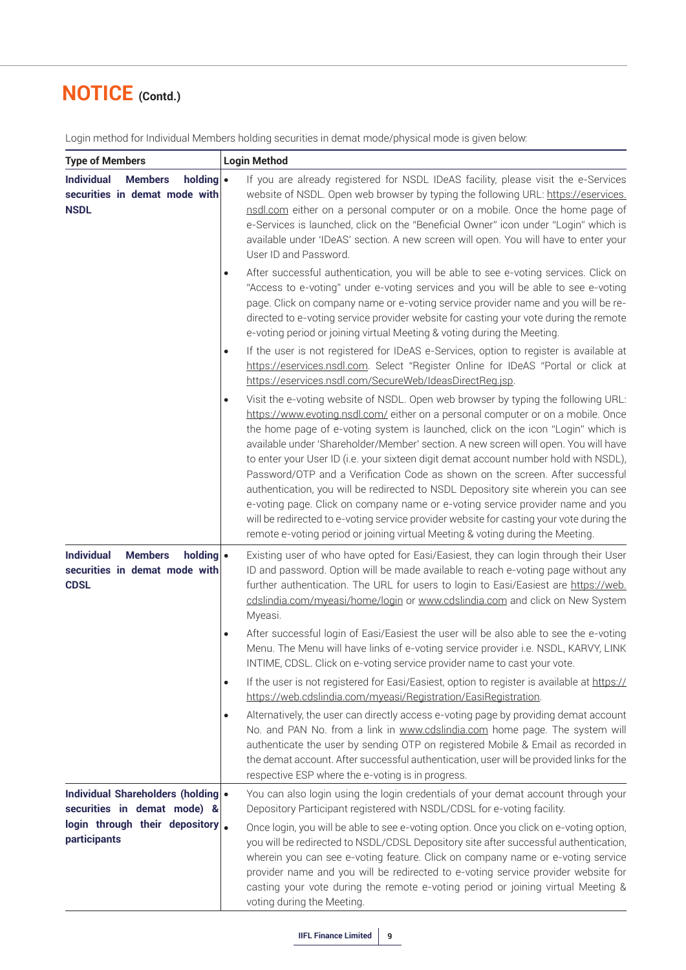| <b>Type of Members</b>                                                                                              | <b>Login Method</b>                                                                                                                                                                                                                                                                                                                                                                                                                                                                                                                                                                                                                                                                                                                                                                                                                                                                          |  |  |  |  |  |
|---------------------------------------------------------------------------------------------------------------------|----------------------------------------------------------------------------------------------------------------------------------------------------------------------------------------------------------------------------------------------------------------------------------------------------------------------------------------------------------------------------------------------------------------------------------------------------------------------------------------------------------------------------------------------------------------------------------------------------------------------------------------------------------------------------------------------------------------------------------------------------------------------------------------------------------------------------------------------------------------------------------------------|--|--|--|--|--|
| holding $\bullet$<br><b>Individual</b><br><b>Members</b><br>securities in demat mode with<br><b>NSDL</b>            | If you are already registered for NSDL IDeAS facility, please visit the e-Services<br>website of NSDL. Open web browser by typing the following URL: https://eservices.<br>nsdl.com either on a personal computer or on a mobile. Once the home page of<br>e-Services is launched, click on the "Beneficial Owner" icon under "Login" which is<br>available under 'IDeAS' section. A new screen will open. You will have to enter your<br>User ID and Password.                                                                                                                                                                                                                                                                                                                                                                                                                              |  |  |  |  |  |
|                                                                                                                     | After successful authentication, you will be able to see e-voting services. Click on<br>$\bullet$<br>"Access to e-voting" under e-voting services and you will be able to see e-voting<br>page. Click on company name or e-voting service provider name and you will be re-<br>directed to e-voting service provider website for casting your vote during the remote<br>e-voting period or joining virtual Meeting & voting during the Meeting.                                                                                                                                                                                                                                                                                                                                                                                                                                              |  |  |  |  |  |
|                                                                                                                     | If the user is not registered for IDeAS e-Services, option to register is available at<br>$\bullet$<br>https://eservices.nsdl.com. Select "Register Online for IDeAS "Portal or click at<br>https://eservices.nsdl.com/SecureWeb/IdeasDirectReg.jsp.                                                                                                                                                                                                                                                                                                                                                                                                                                                                                                                                                                                                                                         |  |  |  |  |  |
|                                                                                                                     | Visit the e-voting website of NSDL. Open web browser by typing the following URL:<br>$\bullet$<br>https://www.evoting.nsdl.com/ either on a personal computer or on a mobile. Once<br>the home page of e-voting system is launched, click on the icon "Login" which is<br>available under 'Shareholder/Member' section. A new screen will open. You will have<br>to enter your User ID (i.e. your sixteen digit demat account number hold with NSDL),<br>Password/OTP and a Verification Code as shown on the screen. After successful<br>authentication, you will be redirected to NSDL Depository site wherein you can see<br>e-voting page. Click on company name or e-voting service provider name and you<br>will be redirected to e-voting service provider website for casting your vote during the<br>remote e-voting period or joining virtual Meeting & voting during the Meeting. |  |  |  |  |  |
| <b>Individual</b><br><b>Members</b><br>holding $\bullet$<br>securities in demat mode with<br><b>CDSL</b>            | Existing user of who have opted for Easi/Easiest, they can login through their User<br>ID and password. Option will be made available to reach e-voting page without any<br>further authentication. The URL for users to login to Easi/Easiest are https://web.<br>cdslindia.com/myeasi/home/login or www.cdslindia.com and click on New System<br>Myeasi.                                                                                                                                                                                                                                                                                                                                                                                                                                                                                                                                   |  |  |  |  |  |
|                                                                                                                     | After successful login of Easi/Easiest the user will be also able to see the e-voting<br>$\bullet$<br>Menu. The Menu will have links of e-voting service provider i.e. NSDL, KARVY, LINK<br>INTIME, CDSL. Click on e-voting service provider name to cast your vote.                                                                                                                                                                                                                                                                                                                                                                                                                                                                                                                                                                                                                         |  |  |  |  |  |
|                                                                                                                     | If the user is not registered for Easi/Easiest, option to register is available at https://<br>$\bullet$<br>https://web.cdslindia.com/myeasi/Registration/EasiRegistration.                                                                                                                                                                                                                                                                                                                                                                                                                                                                                                                                                                                                                                                                                                                  |  |  |  |  |  |
|                                                                                                                     | Alternatively, the user can directly access e-voting page by providing demat account<br>$\bullet$<br>No. and PAN No. from a link in www.cdslindia.com home page. The system will<br>authenticate the user by sending OTP on registered Mobile & Email as recorded in<br>the demat account. After successful authentication, user will be provided links for the<br>respective ESP where the e-voting is in progress.                                                                                                                                                                                                                                                                                                                                                                                                                                                                         |  |  |  |  |  |
| Individual Shareholders (holding •<br>securities in demat mode) &<br>login through their depository<br>participants | You can also login using the login credentials of your demat account through your<br>Depository Participant registered with NSDL/CDSL for e-voting facility.<br>Once login, you will be able to see e-voting option. Once you click on e-voting option,<br>you will be redirected to NSDL/CDSL Depository site after successful authentication,<br>wherein you can see e-voting feature. Click on company name or e-voting service<br>provider name and you will be redirected to e-voting service provider website for<br>casting your vote during the remote e-voting period or joining virtual Meeting &<br>voting during the Meeting.                                                                                                                                                                                                                                                    |  |  |  |  |  |

Login method for Individual Members holding securities in demat mode/physical mode is given below: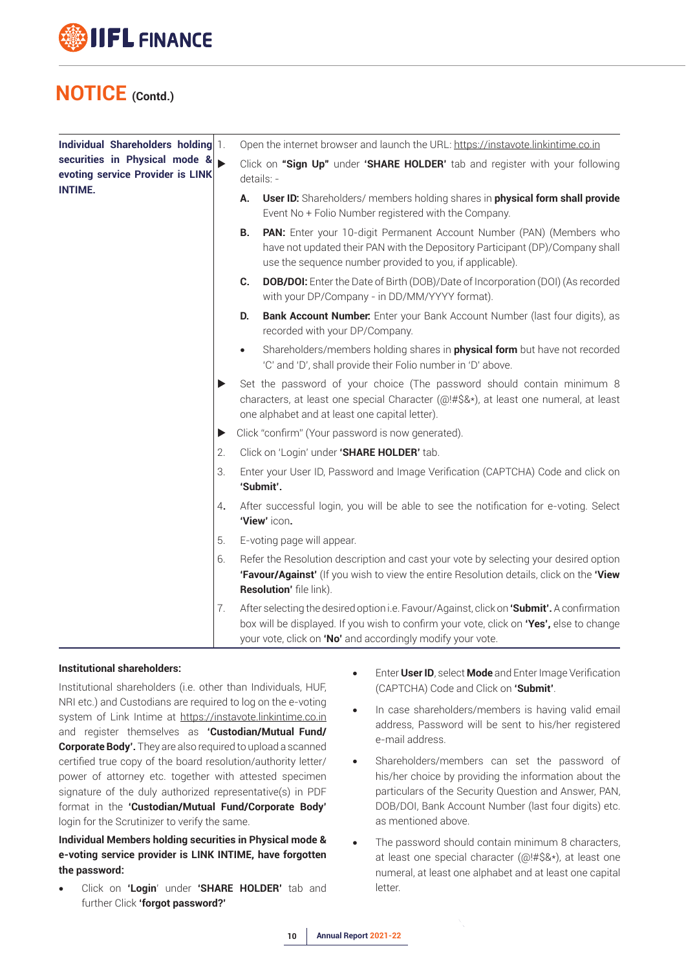

| Individual Shareholders holding 1.                                |    | Open the internet browser and launch the URL: https://instavote.linkintime.co.in                                                                                                                                                                   |
|-------------------------------------------------------------------|----|----------------------------------------------------------------------------------------------------------------------------------------------------------------------------------------------------------------------------------------------------|
| securities in Physical mode &<br>evoting service Provider is LINK |    | Click on "Sign Up" under 'SHARE HOLDER' tab and register with your following<br>details: -                                                                                                                                                         |
| <b>INTIME.</b>                                                    |    | User ID: Shareholders/ members holding shares in physical form shall provide<br>А.<br>Event No + Folio Number registered with the Company.                                                                                                         |
|                                                                   |    | PAN: Enter your 10-digit Permanent Account Number (PAN) (Members who<br><b>B.</b><br>have not updated their PAN with the Depository Participant (DP)/Company shall<br>use the sequence number provided to you, if applicable).                     |
|                                                                   |    | <b>DOB/DOI:</b> Enter the Date of Birth (DOB)/Date of Incorporation (DOI) (As recorded<br>C.<br>with your DP/Company - in DD/MM/YYYY format).                                                                                                      |
|                                                                   |    | Bank Account Number. Enter your Bank Account Number (last four digits), as<br>D.<br>recorded with your DP/Company.                                                                                                                                 |
|                                                                   |    | Shareholders/members holding shares in <b>physical form</b> but have not recorded<br>$\bullet$<br>'C' and 'D', shall provide their Folio number in 'D' above.                                                                                      |
|                                                                   | ▶  | Set the password of your choice (The password should contain minimum 8<br>characters, at least one special Character (@!#\$&*), at least one numeral, at least<br>one alphabet and at least one capital letter).                                   |
|                                                                   | ▶  | Click "confirm" (Your password is now generated).                                                                                                                                                                                                  |
|                                                                   | 2. | Click on 'Login' under 'SHARE HOLDER' tab.                                                                                                                                                                                                         |
|                                                                   | 3. | Enter your User ID, Password and Image Verification (CAPTCHA) Code and click on<br>'Submit'.                                                                                                                                                       |
|                                                                   | 4. | After successful login, you will be able to see the notification for e-voting. Select<br>'View' icon.                                                                                                                                              |
|                                                                   | 5. | E-voting page will appear.                                                                                                                                                                                                                         |
|                                                                   | 6. | Refer the Resolution description and cast your vote by selecting your desired option<br>'Favour/Against' (If you wish to view the entire Resolution details, click on the 'View<br>Resolution' file link).                                         |
|                                                                   | 7. | After selecting the desired option i.e. Favour/Against, click on 'Submit'. A confirmation<br>box will be displayed. If you wish to confirm your vote, click on "Yes', else to change<br>your vote, click on 'No' and accordingly modify your vote. |

#### **Institutional shareholders:**

Institutional shareholders (i.e. other than Individuals, HUF, NRI etc.) and Custodians are required to log on the e-voting system of Link Intime at https://instavote.linkintime.co.in and register themselves as **'Custodian/Mutual Fund/ Corporate Body'.** They are also required to upload a scanned certified true copy of the board resolution/authority letter/ power of attorney etc. together with attested specimen signature of the duly authorized representative(s) in PDF format in the **'Custodian/Mutual Fund/Corporate Body'** login for the Scrutinizer to verify the same.

#### **Individual Members holding securities in Physical mode & e-voting service provider is LINK INTIME, have forgotten the password:**

• Click on **'Login**' under **'SHARE HOLDER'** tab and further Click **'forgot password?'**

- **Enter User ID, select Mode** and Enter Image Verification (CAPTCHA) Code and Click on **'Submit'**.
- In case shareholders/members is having valid email address, Password will be sent to his/her registered e-mail address.
- Shareholders/members can set the password of his/her choice by providing the information about the particulars of the Security Question and Answer, PAN, DOB/DOI, Bank Account Number (last four digits) etc. as mentioned above.
- The password should contain minimum 8 characters, at least one special character (@!#\$&\*), at least one numeral, at least one alphabet and at least one capital letter.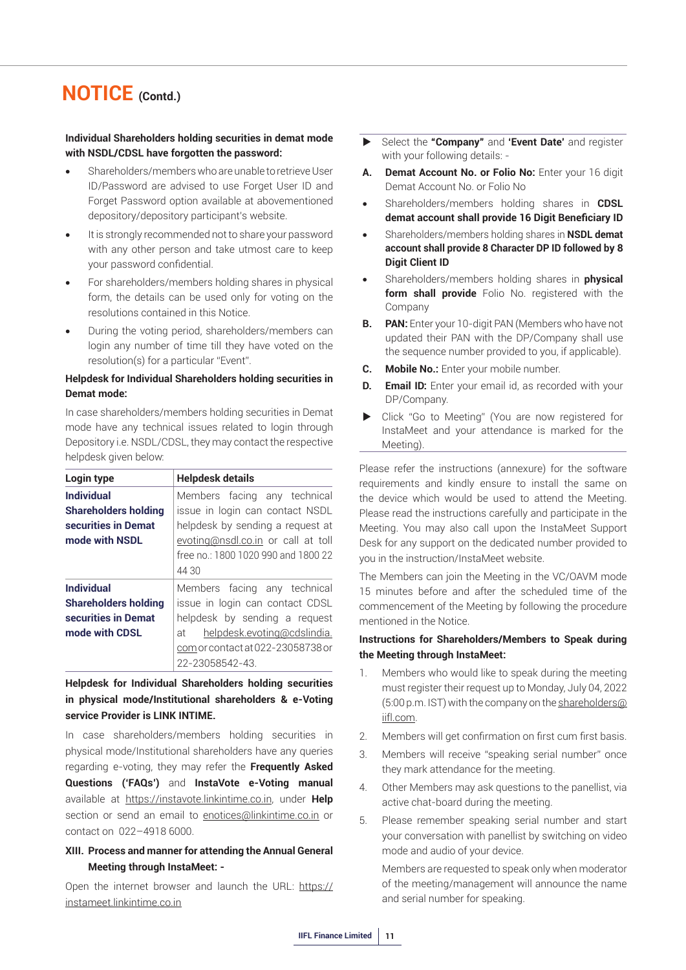#### **Individual Shareholders holding securities in demat mode with NSDL/CDSL have forgotten the password:**

- Shareholders/members who are unable to retrieve User ID/Password are advised to use Forget User ID and Forget Password option available at abovementioned depository/depository participant's website.
- It is strongly recommended not to share your password with any other person and take utmost care to keep your password confidential.
- For shareholders/members holding shares in physical form, the details can be used only for voting on the resolutions contained in this Notice.
- During the voting period, shareholders/members can login any number of time till they have voted on the resolution(s) for a particular "Event".

#### **Helpdesk for Individual Shareholders holding securities in Demat mode:**

In case shareholders/members holding securities in Demat mode have any technical issues related to login through Depository i.e. NSDL/CDSL, they may contact the respective helpdesk given below:

| Login type                  | <b>Helpdesk details</b>             |  |  |  |  |  |  |  |
|-----------------------------|-------------------------------------|--|--|--|--|--|--|--|
| <b>Individual</b>           | Members facing any technical        |  |  |  |  |  |  |  |
| <b>Shareholders holding</b> | issue in login can contact NSDL     |  |  |  |  |  |  |  |
| securities in Demat         | helpdesk by sending a request at    |  |  |  |  |  |  |  |
| mode with NSDL              | evoting@nsdl.co.in or call at toll  |  |  |  |  |  |  |  |
|                             | free no.: 1800 1020 990 and 1800 22 |  |  |  |  |  |  |  |
|                             | 44 30                               |  |  |  |  |  |  |  |
| <b>Individual</b>           | Members facing any technical        |  |  |  |  |  |  |  |
| <b>Shareholders holding</b> | issue in login can contact CDSL     |  |  |  |  |  |  |  |
| securities in Demat         | helpdesk by sending a request       |  |  |  |  |  |  |  |
| mode with CDSL              | helpdesk.evoting@cdslindia.<br>аt   |  |  |  |  |  |  |  |
|                             | com or contact at 022-23058738 or   |  |  |  |  |  |  |  |
|                             | 22-23058542-43.                     |  |  |  |  |  |  |  |

**Helpdesk for Individual Shareholders holding securities in physical mode/Institutional shareholders & e-Voting service Provider is LINK INTIME.**

In case shareholders/members holding securities in physical mode/Institutional shareholders have any queries regarding e-voting, they may refer the **Frequently Asked Questions ('FAQs')** and **InstaVote e-Voting manual** available at https://instavote.linkintime.co.in, under **Help** section or send an email to enotices@linkintime.co.in or contact on 022–4918 6000.

#### **XIII. Process and manner for attending the Annual General Meeting through InstaMeet: -**

Open the internet browser and launch the URL: https:// instameet.linkintime.co.in

- Select the **"Company"** and **'Event Date'** and register with your following details: -
- **A. Demat Account No. or Folio No:** Enter your 16 digit Demat Account No. or Folio No
- Shareholders/members holding shares in **CDSL demat account shall provide 16 Digit Beneficiary ID**
- Shareholders/members holding shares in **NSDL demat account shall provide 8 Character DP ID followed by 8 Digit Client ID**
- Shareholders/members holding shares in **physical form shall provide** Folio No. registered with the Company
- **B.** PAN: Enter your 10-digit PAN (Members who have not updated their PAN with the DP/Company shall use the sequence number provided to you, if applicable).
- **C. Mobile No.:** Enter your mobile number.
- **D.** Email ID: Enter your email id, as recorded with your DP/Company.
- Click "Go to Meeting" (You are now registered for InstaMeet and your attendance is marked for the Meeting).

Please refer the instructions (annexure) for the software requirements and kindly ensure to install the same on the device which would be used to attend the Meeting. Please read the instructions carefully and participate in the Meeting. You may also call upon the InstaMeet Support Desk for any support on the dedicated number provided to you in the instruction/InstaMeet website.

The Members can join the Meeting in the VC/OAVM mode 15 minutes before and after the scheduled time of the commencement of the Meeting by following the procedure mentioned in the Notice.

#### **Instructions for Shareholders/Members to Speak during the Meeting through InstaMeet:**

- 1. Members who would like to speak during the meeting must register their request up to Monday, July 04, 2022 (5:00 p.m. IST) with the company on the shareholders@ iifl.com.
- 2. Members will get confirmation on first cum first basis.
- 3. Members will receive "speaking serial number" once they mark attendance for the meeting.
- 4. Other Members may ask questions to the panellist, via active chat-board during the meeting.
- 5. Please remember speaking serial number and start your conversation with panellist by switching on video mode and audio of your device.

 Members are requested to speak only when moderator of the meeting/management will announce the name and serial number for speaking.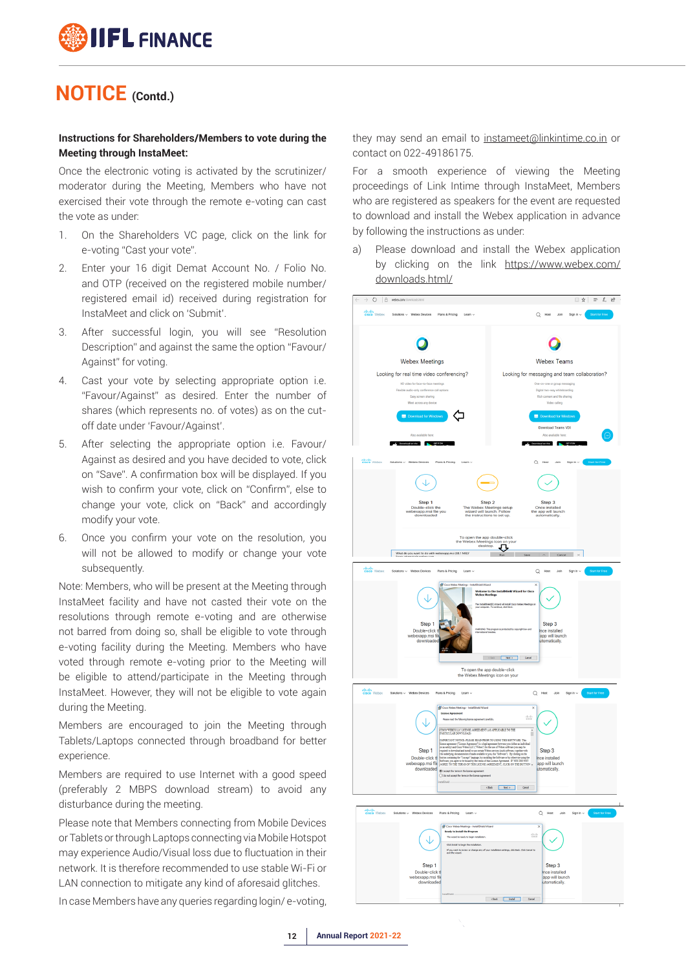#### **Instructions for Shareholders/Members to vote during the Meeting through InstaMeet:**

Once the electronic voting is activated by the scrutinizer/ moderator during the Meeting, Members who have not exercised their vote through the remote e-voting can cast the vote as under:

- 1. On the Shareholders VC page, click on the link for e-voting "Cast your vote".
- 2. Enter your 16 digit Demat Account No. / Folio No. and OTP (received on the registered mobile number/ registered email id) received during registration for InstaMeet and click on 'Submit'.
- 3. After successful login, you will see "Resolution Description" and against the same the option "Favour/ Against" for voting.
- 4. Cast your vote by selecting appropriate option i.e. "Favour/Against" as desired. Enter the number of shares (which represents no. of votes) as on the cutoff date under 'Favour/Against'.
- 5. After selecting the appropriate option i.e. Favour/ Against as desired and you have decided to vote, click on "Save". A confirmation box will be displayed. If you wish to confirm your vote, click on "Confirm", else to change your vote, click on "Back" and accordingly modify your vote.
- 6. Once you confirm your vote on the resolution, you will not be allowed to modify or change your vote subsequently.

Note: Members, who will be present at the Meeting through InstaMeet facility and have not casted their vote on the resolutions through remote e-voting and are otherwise not barred from doing so, shall be eligible to vote through e-voting facility during the Meeting. Members who have voted through remote e-voting prior to the Meeting will be eligible to attend/participate in the Meeting through InstaMeet. However, they will not be eligible to vote again during the Meeting.

Members are encouraged to join the Meeting through Tablets/Laptops connected through broadband for better experience.

Members are required to use Internet with a good speed (preferably 2 MBPS download stream) to avoid any disturbance during the meeting.

Please note that Members connecting from Mobile Devices or Tablets or through Laptops connecting via Mobile Hotspot may experience Audio/Visual loss due to fluctuation in their network. It is therefore recommended to use stable Wi-Fi or LAN connection to mitigate any kind of aforesaid glitches.

In case Members have any queries regarding login/ e-voting,

they may send an email to instameet@linkintime.co.in or contact on 022-49186175.

For a smooth experience of viewing the Meeting proceedings of Link Intime through InstaMeet, Members who are registered as speakers for the event are requested to download and install the Webex application in advance by following the instructions as under:

a) Please download and install the Webex application by clicking on the link https://www.webex.com/ downloads.html/

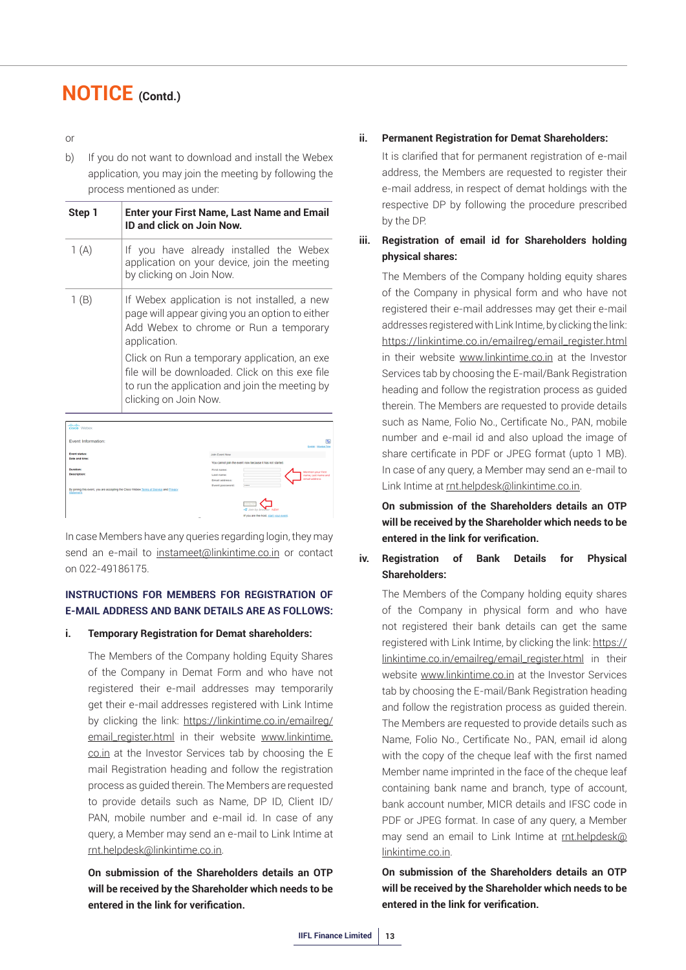or

b) If you do not want to download and install the Webex application, you may join the meeting by following the process mentioned as under:

| Step 1 | Enter your First Name, Last Name and Email<br>ID and click on Join Now.                                                                                                    |
|--------|----------------------------------------------------------------------------------------------------------------------------------------------------------------------------|
| 1(A)   | If you have already installed the Webex<br>application on your device, join the meeting<br>by clicking on Join Now.                                                        |
| 1(B)   | If Webex application is not installed, a new<br>page will appear giving you an option to either<br>Add Webex to chrome or Run a temporary<br>application.                  |
|        | Click on Run a temporary application, an exe<br>file will be downloaded. Click on this exe file<br>to run the application and join the meeting by<br>clicking on Join Now. |

| aludi.<br>cisco Webex                                                                               |                                                                                                   |
|-----------------------------------------------------------------------------------------------------|---------------------------------------------------------------------------------------------------|
| Event Information:                                                                                  | $\overline{\mathbf{c}}$<br><b>English : Mumbai Time</b>                                           |
| <b>Event status:</b><br>Date and time:                                                              | Join Event Now                                                                                    |
| <b>Duration:</b>                                                                                    | You cannot join the event now because it has not started.<br>First name:                          |
| Description:                                                                                        | <b>Mention your First</b><br>Last name:<br>name, Last name and<br>email address<br>Email address: |
| By joining this event, you are accepting the Cisco Webex Terms of Service and Privacy<br>Statement. | Event password:<br><b>ANNAH</b>                                                                   |
|                                                                                                     | - Join by browser NEW                                                                             |
|                                                                                                     | If you are the host, start your event.<br>$\sim$                                                  |

In case Members have any queries regarding login, they may send an e-mail to instameet@linkintime.co.in or contact on 022-49186175.

#### **INSTRUCTIONS FOR MEMBERS FOR REGISTRATION OF E-MAIL ADDRESS AND BANK DETAILS ARE AS FOLLOWS:**

#### **i. Temporary Registration for Demat shareholders:**

The Members of the Company holding Equity Shares of the Company in Demat Form and who have not registered their e-mail addresses may temporarily get their e-mail addresses registered with Link Intime by clicking the link: https://linkintime.co.in/emailreg/ email\_register.html in their website www.linkintime. co.in at the Investor Services tab by choosing the E mail Registration heading and follow the registration process as guided therein. The Members are requested to provide details such as Name, DP ID, Client ID/ PAN, mobile number and e-mail id. In case of any query, a Member may send an e-mail to Link Intime at rnt.helpdesk@linkintime.co.in.

**On submission of the Shareholders details an OTP will be received by the Shareholder which needs to be entered in the link for verification.**

#### **ii. Permanent Registration for Demat Shareholders:**

It is clarified that for permanent registration of e-mail address, the Members are requested to register their e-mail address, in respect of demat holdings with the respective DP by following the procedure prescribed by the DP.

#### **iii. Registration of email id for Shareholders holding physical shares:**

 The Members of the Company holding equity shares of the Company in physical form and who have not registered their e-mail addresses may get their e-mail addresses registered with Link Intime, by clicking the link: https://linkintime.co.in/emailreg/email\_register.html in their website www.linkintime.co.in at the Investor Services tab by choosing the E-mail/Bank Registration heading and follow the registration process as guided therein. The Members are requested to provide details such as Name, Folio No., Certificate No., PAN, mobile number and e-mail id and also upload the image of share certificate in PDF or JPEG format (upto 1 MB). In case of any query, a Member may send an e-mail to Link Intime at rnt.helpdesk@linkintime.co.in.

 **On submission of the Shareholders details an OTP will be received by the Shareholder which needs to be entered in the link for verification.**

#### **iv. Registration of Bank Details for Physical Shareholders:**

 The Members of the Company holding equity shares of the Company in physical form and who have not registered their bank details can get the same registered with Link Intime, by clicking the link: https:// linkintime.co.in/emailreg/email\_register.html in their website www.linkintime.co.in at the Investor Services tab by choosing the E-mail/Bank Registration heading and follow the registration process as guided therein. The Members are requested to provide details such as Name, Folio No., Certificate No., PAN, email id along with the copy of the cheque leaf with the first named Member name imprinted in the face of the cheque leaf containing bank name and branch, type of account, bank account number, MICR details and IFSC code in PDF or JPEG format. In case of any query, a Member may send an email to Link Intime at rnt.helpdesk@ linkintime.co.in.

**On submission of the Shareholders details an OTP will be received by the Shareholder which needs to be entered in the link for verification.**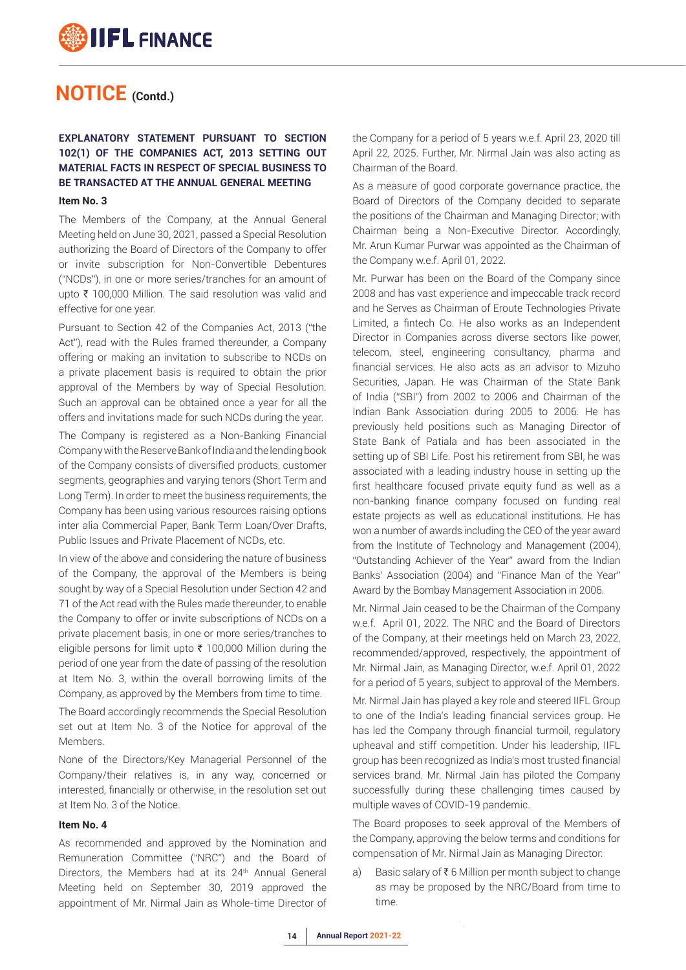#### **EXPLANATORY STATEMENT PURSUANT TO SECTION 102(1) OF THE COMPANIES ACT, 2013 SETTING OUT MATERIAL FACTS IN RESPECT OF SPECIAL BUSINESS TO BE TRANSACTED AT THE ANNUAL GENERAL MEETING**

#### **Item No. 3**

The Members of the Company, at the Annual General Meeting held on June 30, 2021, passed a Special Resolution authorizing the Board of Directors of the Company to offer or invite subscription for Non-Convertible Debentures ("NCDs"), in one or more series/tranches for an amount of upto  $\bar{\tau}$  100,000 Million. The said resolution was valid and effective for one year.

Pursuant to Section 42 of the Companies Act, 2013 ("the Act"), read with the Rules framed thereunder, a Company offering or making an invitation to subscribe to NCDs on a private placement basis is required to obtain the prior approval of the Members by way of Special Resolution. Such an approval can be obtained once a year for all the offers and invitations made for such NCDs during the year.

The Company is registered as a Non-Banking Financial Company with the Reserve Bank of India and the lending book of the Company consists of diversified products, customer segments, geographies and varying tenors (Short Term and Long Term). In order to meet the business requirements, the Company has been using various resources raising options inter alia Commercial Paper, Bank Term Loan/Over Drafts, Public Issues and Private Placement of NCDs, etc.

In view of the above and considering the nature of business of the Company, the approval of the Members is being sought by way of a Special Resolution under Section 42 and 71 of the Act read with the Rules made thereunder, to enable the Company to offer or invite subscriptions of NCDs on a private placement basis, in one or more series/tranches to eligible persons for limit upto  $\bar{\tau}$  100,000 Million during the period of one year from the date of passing of the resolution at Item No. 3, within the overall borrowing limits of the Company, as approved by the Members from time to time.

The Board accordingly recommends the Special Resolution set out at Item No. 3 of the Notice for approval of the **Memhers** 

None of the Directors/Key Managerial Personnel of the Company/their relatives is, in any way, concerned or interested, financially or otherwise, in the resolution set out at Item No. 3 of the Notice.

#### **Item No. 4**

As recommended and approved by the Nomination and Remuneration Committee ("NRC") and the Board of Directors, the Members had at its 24<sup>th</sup> Annual General Meeting held on September 30, 2019 approved the appointment of Mr. Nirmal Jain as Whole-time Director of

the Company for a period of 5 years w.e.f. April 23, 2020 till April 22, 2025. Further, Mr. Nirmal Jain was also acting as Chairman of the Board.

As a measure of good corporate governance practice, the Board of Directors of the Company decided to separate the positions of the Chairman and Managing Director; with Chairman being a Non-Executive Director. Accordingly, Mr. Arun Kumar Purwar was appointed as the Chairman of the Company w.e.f. April 01, 2022.

Mr. Purwar has been on the Board of the Company since 2008 and has vast experience and impeccable track record and he Serves as Chairman of Eroute Technologies Private Limited, a fintech Co. He also works as an Independent Director in Companies across diverse sectors like power, telecom, steel, engineering consultancy, pharma and financial services. He also acts as an advisor to Mizuho Securities, Japan. He was Chairman of the State Bank of India ("SBI") from 2002 to 2006 and Chairman of the Indian Bank Association during 2005 to 2006. He has previously held positions such as Managing Director of State Bank of Patiala and has been associated in the setting up of SBI Life. Post his retirement from SBI, he was associated with a leading industry house in setting up the first healthcare focused private equity fund as well as a non-banking finance company focused on funding real estate projects as well as educational institutions. He has won a number of awards including the CEO of the year award from the Institute of Technology and Management (2004), "Outstanding Achiever of the Year" award from the Indian Banks' Association (2004) and "Finance Man of the Year" Award by the Bombay Management Association in 2006.

Mr. Nirmal Jain ceased to be the Chairman of the Company w.e.f. April 01, 2022. The NRC and the Board of Directors of the Company, at their meetings held on March 23, 2022, recommended/approved, respectively, the appointment of Mr. Nirmal Jain, as Managing Director, w.e.f. April 01, 2022 for a period of 5 years, subject to approval of the Members.

Mr. Nirmal Jain has played a key role and steered IIFL Group to one of the India's leading financial services group. He has led the Company through financial turmoil, regulatory upheaval and stiff competition. Under his leadership, IIFL group has been recognized as India's most trusted financial services brand. Mr. Nirmal Jain has piloted the Company successfully during these challenging times caused by multiple waves of COVID-19 pandemic.

The Board proposes to seek approval of the Members of the Company, approving the below terms and conditions for compensation of Mr. Nirmal Jain as Managing Director:

a) Basic salary of  $\bar{\tau}$  6 Million per month subject to change as may be proposed by the NRC/Board from time to time.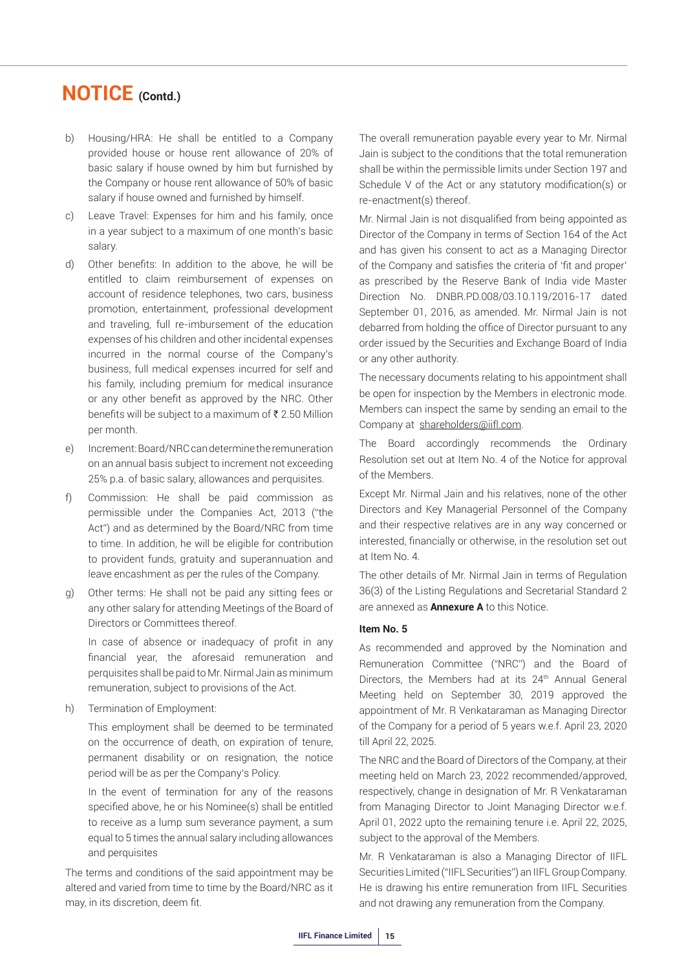- b) Housing/HRA: He shall be entitled to a Company provided house or house rent allowance of 20% of basic salary if house owned by him but furnished by the Company or house rent allowance of 50% of basic salary if house owned and furnished by himself.
- c) Leave Travel: Expenses for him and his family, once in a year subject to a maximum of one month's basic salary.
- d) Other benefits: In addition to the above, he will be entitled to claim reimbursement of expenses on account of residence telephones, two cars, business promotion, entertainment, professional development and traveling, full re-imbursement of the education expenses of his children and other incidental expenses incurred in the normal course of the Company's business, full medical expenses incurred for self and his family, including premium for medical insurance or any other benefit as approved by the NRC. Other benefits will be subject to a maximum of  $\bar{\tau}$  2.50 Million per month.
- e) Increment: Board/NRC can determine the remuneration on an annual basis subject to increment not exceeding 25% p.a. of basic salary, allowances and perquisites.
- f) Commission: He shall be paid commission as permissible under the Companies Act, 2013 ("the Act") and as determined by the Board/NRC from time to time. In addition, he will be eligible for contribution to provident funds, gratuity and superannuation and leave encashment as per the rules of the Company.
- g) Other terms: He shall not be paid any sitting fees or any other salary for attending Meetings of the Board of Directors or Committees thereof.

In case of absence or inadequacy of profit in any financial year, the aforesaid remuneration and perquisites shall be paid to Mr. Nirmal Jain as minimum remuneration, subject to provisions of the Act.

h) Termination of Employment:

This employment shall be deemed to be terminated on the occurrence of death, on expiration of tenure, permanent disability or on resignation, the notice period will be as per the Company's Policy.

In the event of termination for any of the reasons specified above, he or his Nominee(s) shall be entitled to receive as a lump sum severance payment, a sum equal to 5 times the annual salary including allowances and perquisites

The terms and conditions of the said appointment may be altered and varied from time to time by the Board/NRC as it may, in its discretion, deem fit.

The overall remuneration payable every year to Mr. Nirmal Jain is subject to the conditions that the total remuneration shall be within the permissible limits under Section 197 and Schedule V of the Act or any statutory modification(s) or re-enactment(s) thereof.

Mr. Nirmal Jain is not disqualified from being appointed as Director of the Company in terms of Section 164 of the Act and has given his consent to act as a Managing Director of the Company and satisfies the criteria of 'fit and proper' as prescribed by the Reserve Bank of India vide Master Direction No. DNBR.PD.008/03.10.119/2016-17 dated September 01, 2016, as amended. Mr. Nirmal Jain is not debarred from holding the office of Director pursuant to any order issued by the Securities and Exchange Board of India or any other authority.

The necessary documents relating to his appointment shall be open for inspection by the Members in electronic mode. Members can inspect the same by sending an email to the Company at shareholders@iifl.com.

The Board accordingly recommends the Ordinary Resolution set out at Item No. 4 of the Notice for approval of the Members.

Except Mr. Nirmal Jain and his relatives, none of the other Directors and Key Managerial Personnel of the Company and their respective relatives are in any way concerned or interested, financially or otherwise, in the resolution set out at Item No. 4.

The other details of Mr. Nirmal Jain in terms of Regulation 36(3) of the Listing Regulations and Secretarial Standard 2 are annexed as **Annexure A** to this Notice.

#### **Item No. 5**

As recommended and approved by the Nomination and Remuneration Committee ("NRC") and the Board of Directors, the Members had at its 24<sup>th</sup> Annual General Meeting held on September 30, 2019 approved the appointment of Mr. R Venkataraman as Managing Director of the Company for a period of 5 years w.e.f. April 23, 2020 till April 22, 2025.

The NRC and the Board of Directors of the Company, at their meeting held on March 23, 2022 recommended/approved, respectively, change in designation of Mr. R Venkataraman from Managing Director to Joint Managing Director w.e.f. April 01, 2022 upto the remaining tenure i.e. April 22, 2025, subject to the approval of the Members.

Mr. R Venkataraman is also a Managing Director of IIFL Securities Limited ("IIFL Securities") an IIFL Group Company. He is drawing his entire remuneration from IIFL Securities and not drawing any remuneration from the Company.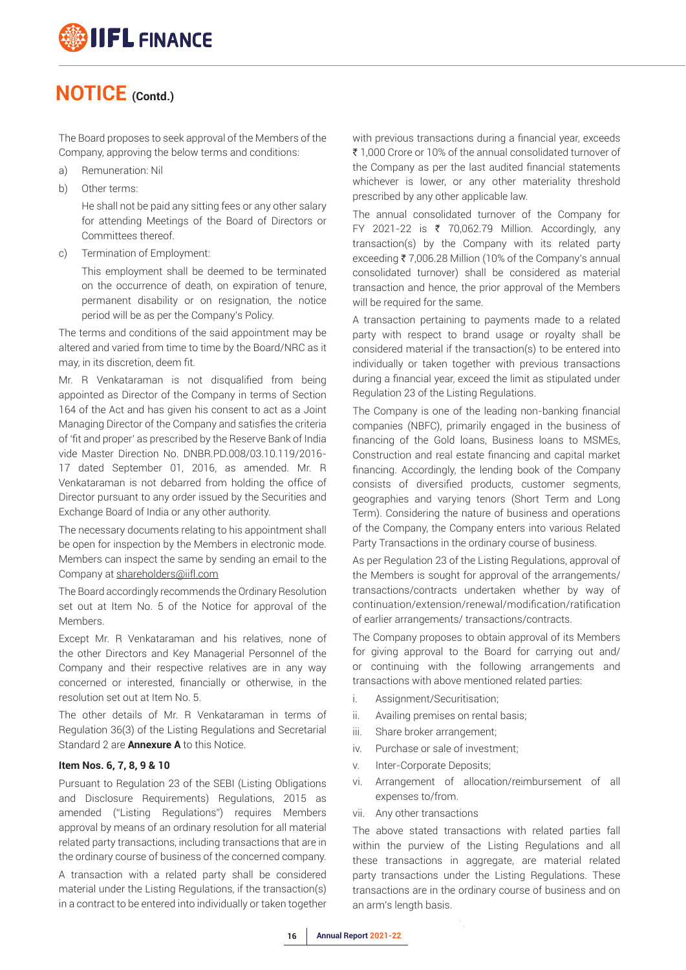The Board proposes to seek approval of the Members of the Company, approving the below terms and conditions:

- a) Remuneration: Nil
- b) Other terms:

 He shall not be paid any sitting fees or any other salary for attending Meetings of the Board of Directors or Committees thereof.

c) Termination of Employment:

 This employment shall be deemed to be terminated on the occurrence of death, on expiration of tenure, permanent disability or on resignation, the notice period will be as per the Company's Policy.

The terms and conditions of the said appointment may be altered and varied from time to time by the Board/NRC as it may, in its discretion, deem fit.

Mr. R Venkataraman is not disqualified from being appointed as Director of the Company in terms of Section 164 of the Act and has given his consent to act as a Joint Managing Director of the Company and satisfies the criteria of 'fit and proper' as prescribed by the Reserve Bank of India vide Master Direction No. DNBR.PD.008/03.10.119/2016- 17 dated September 01, 2016, as amended. Mr. R Venkataraman is not debarred from holding the office of Director pursuant to any order issued by the Securities and Exchange Board of India or any other authority.

The necessary documents relating to his appointment shall be open for inspection by the Members in electronic mode. Members can inspect the same by sending an email to the Company at shareholders@iifl.com

The Board accordingly recommends the Ordinary Resolution set out at Item No. 5 of the Notice for approval of the Members.

Except Mr. R Venkataraman and his relatives, none of the other Directors and Key Managerial Personnel of the Company and their respective relatives are in any way concerned or interested, financially or otherwise, in the resolution set out at Item No. 5.

The other details of Mr. R Venkataraman in terms of Regulation 36(3) of the Listing Regulations and Secretarial Standard 2 are **Annexure A** to this Notice.

#### **Item Nos. 6, 7, 8, 9 & 10**

Pursuant to Regulation 23 of the SEBI (Listing Obligations and Disclosure Requirements) Regulations, 2015 as amended ("Listing Regulations") requires Members approval by means of an ordinary resolution for all material related party transactions, including transactions that are in the ordinary course of business of the concerned company.

A transaction with a related party shall be considered material under the Listing Regulations, if the transaction(s) in a contract to be entered into individually or taken together

with previous transactions during a financial year, exceeds ₹ 1,000 Crore or 10% of the annual consolidated turnover of the Company as per the last audited financial statements whichever is lower, or any other materiality threshold prescribed by any other applicable law.

The annual consolidated turnover of the Company for FY 2021-22 is  $\overline{\epsilon}$  70,062.79 Million. Accordingly, any transaction(s) by the Company with its related party exceeding ₹7,006.28 Million (10% of the Company's annual consolidated turnover) shall be considered as material transaction and hence, the prior approval of the Members will be required for the same.

A transaction pertaining to payments made to a related party with respect to brand usage or royalty shall be considered material if the transaction(s) to be entered into individually or taken together with previous transactions during a financial year, exceed the limit as stipulated under Regulation 23 of the Listing Regulations.

The Company is one of the leading non-banking financial companies (NBFC), primarily engaged in the business of financing of the Gold loans, Business loans to MSMEs, Construction and real estate financing and capital market financing. Accordingly, the lending book of the Company consists of diversified products, customer segments, geographies and varying tenors (Short Term and Long Term). Considering the nature of business and operations of the Company, the Company enters into various Related Party Transactions in the ordinary course of business.

As per Regulation 23 of the Listing Regulations, approval of the Members is sought for approval of the arrangements/ transactions/contracts undertaken whether by way of continuation/extension/renewal/modification/ratification of earlier arrangements/ transactions/contracts.

The Company proposes to obtain approval of its Members for giving approval to the Board for carrying out and/ or continuing with the following arrangements and transactions with above mentioned related parties:

- i. Assignment/Securitisation;
- ii. Availing premises on rental basis;
- iii. Share broker arrangement;
- iv. Purchase or sale of investment;
- v. Inter-Corporate Deposits;
- vi. Arrangement of allocation/reimbursement of all expenses to/from.
- vii. Any other transactions

The above stated transactions with related parties fall within the purview of the Listing Regulations and all these transactions in aggregate, are material related party transactions under the Listing Regulations. These transactions are in the ordinary course of business and on an arm's length basis.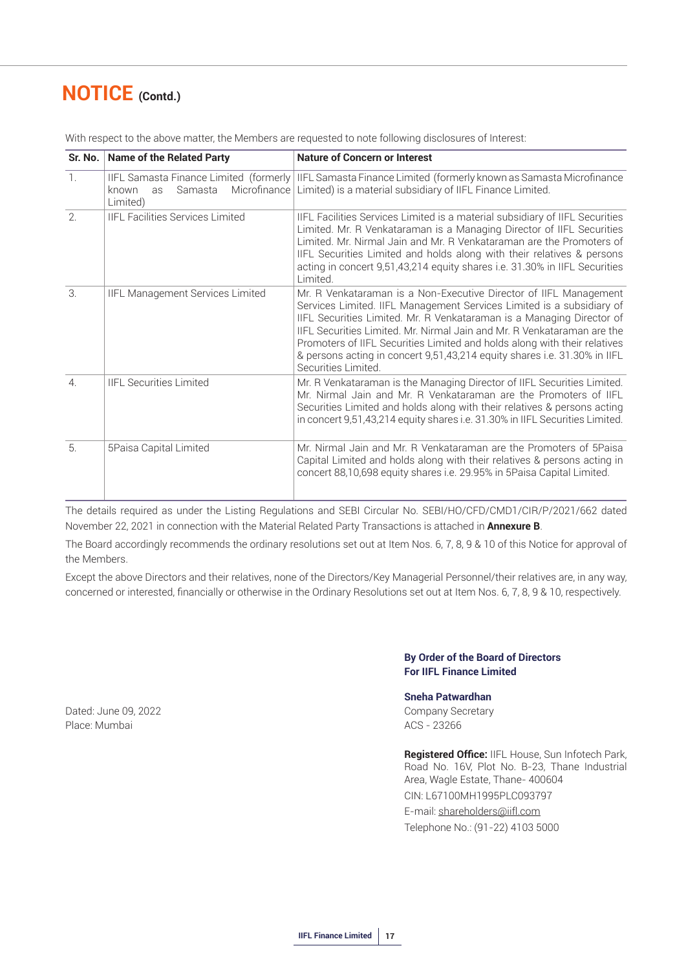|                  | Sr. No.   Name of the Related Party                | <b>Nature of Concern or Interest</b>                                                                                                                                                                                                                                                                                                                                                                                                                                            |
|------------------|----------------------------------------------------|---------------------------------------------------------------------------------------------------------------------------------------------------------------------------------------------------------------------------------------------------------------------------------------------------------------------------------------------------------------------------------------------------------------------------------------------------------------------------------|
| $\mathbb{1}$ .   | Microfinance<br>known<br>Samasta<br>as<br>Limited) | IIFL Samasta Finance Limited (formerly   IIFL Samasta Finance Limited (formerly known as Samasta Microfinance<br>Limited) is a material subsidiary of IIFL Finance Limited.                                                                                                                                                                                                                                                                                                     |
| 2.               | <b>IIFL Facilities Services Limited</b>            | IIFL Facilities Services Limited is a material subsidiary of IIFL Securities<br>Limited. Mr. R Venkataraman is a Managing Director of IIFL Securities<br>Limited. Mr. Nirmal Jain and Mr. R Venkataraman are the Promoters of<br>IIFL Securities Limited and holds along with their relatives & persons<br>acting in concert 9,51,43,214 equity shares i.e. 31.30% in IIFL Securities<br>Limited.                                                                               |
| 3.               | IIFL Management Services Limited                   | Mr. R Venkataraman is a Non-Executive Director of IIFL Management<br>Services Limited. IIFL Management Services Limited is a subsidiary of<br>IIFL Securities Limited. Mr. R Venkataraman is a Managing Director of<br>IIFL Securities Limited. Mr. Nirmal Jain and Mr. R Venkataraman are the<br>Promoters of IIFL Securities Limited and holds along with their relatives<br>& persons acting in concert 9,51,43,214 equity shares i.e. 31.30% in IIFL<br>Securities Limited. |
| $\overline{4}$ . | <b>IIFL Securities Limited</b>                     | Mr. R Venkataraman is the Managing Director of IIFL Securities Limited.<br>Mr. Nirmal Jain and Mr. R Venkataraman are the Promoters of IIFL<br>Securities Limited and holds along with their relatives & persons acting<br>in concert 9,51,43,214 equity shares i.e. 31.30% in IIFL Securities Limited.                                                                                                                                                                         |
| 5.               | 5Paisa Capital Limited                             | Mr. Nirmal Jain and Mr. R Venkataraman are the Promoters of 5Paisa<br>Capital Limited and holds along with their relatives & persons acting in<br>concert 88,10,698 equity shares i.e. 29.95% in 5Paisa Capital Limited.                                                                                                                                                                                                                                                        |

With respect to the above matter, the Members are requested to note following disclosures of Interest:

The details required as under the Listing Regulations and SEBI Circular No. SEBI/HO/CFD/CMD1/CIR/P/2021/662 dated November 22, 2021 in connection with the Material Related Party Transactions is attached in **Annexure B**.

The Board accordingly recommends the ordinary resolutions set out at Item Nos. 6, 7, 8, 9 & 10 of this Notice for approval of the Members.

Except the above Directors and their relatives, none of the Directors/Key Managerial Personnel/their relatives are, in any way, concerned or interested, financially or otherwise in the Ordinary Resolutions set out at Item Nos. 6, 7, 8, 9 & 10, respectively.

#### **By Order of the Board of Directors For IIFL Finance Limited**

#### **Sneha Patwardhan**

**Registered Office:** IIFL House, Sun Infotech Park, Road No. 16V, Plot No. B-23, Thane Industrial Area, Wagle Estate, Thane- 400604 CIN: L67100MH1995PLC093797 E-mail: shareholders@iifl.com Telephone No.: (91-22) 4103 5000

Dated: June 09, 2022 **Company Secretary** Place: Mumbai ACS - 23266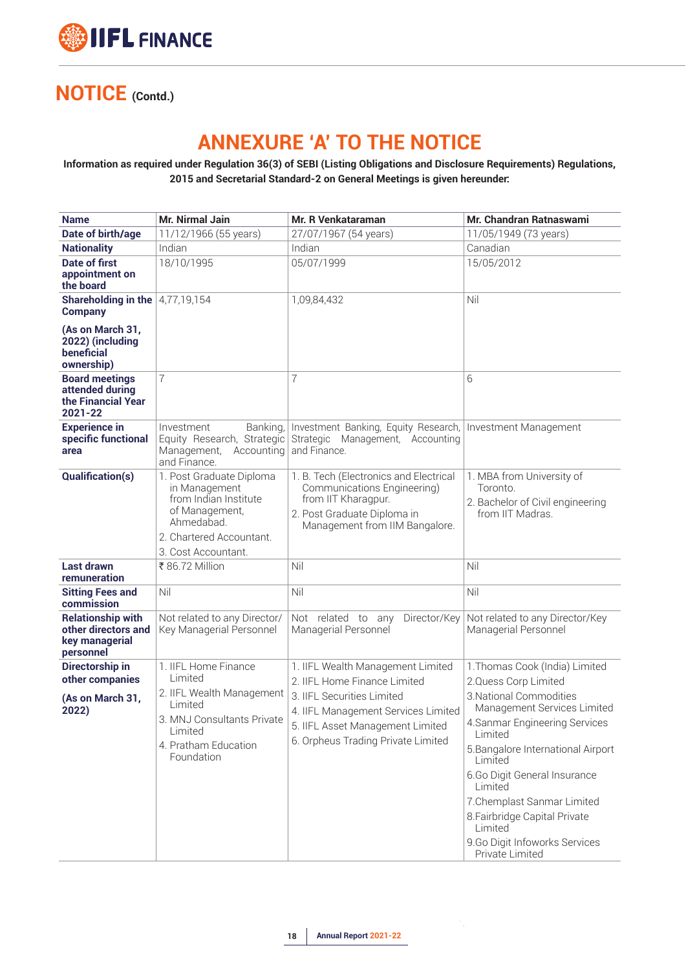

## **ANNEXURE 'A' TO THE NOTICE**

#### **Information as required under Regulation 36(3) of SEBI (Listing Obligations and Disclosure Requirements) Regulations, 2015 and Secretarial Standard-2 on General Meetings is given hereunder:**

| <b>Name</b>                                                                    | Mr. Nirmal Jain                                                                                                                                        | Mr. R Venkataraman                                                                                                                                                                                               | <b>Mr. Chandran Ratnaswami</b>                                                                                                                                                                                                                                                                                                                                                            |  |  |
|--------------------------------------------------------------------------------|--------------------------------------------------------------------------------------------------------------------------------------------------------|------------------------------------------------------------------------------------------------------------------------------------------------------------------------------------------------------------------|-------------------------------------------------------------------------------------------------------------------------------------------------------------------------------------------------------------------------------------------------------------------------------------------------------------------------------------------------------------------------------------------|--|--|
| Date of birth/age                                                              | 11/12/1966 (55 years)                                                                                                                                  | 27/07/1967 (54 years)                                                                                                                                                                                            | 11/05/1949 (73 years)                                                                                                                                                                                                                                                                                                                                                                     |  |  |
| <b>Nationality</b>                                                             | Indian                                                                                                                                                 | Indian                                                                                                                                                                                                           | Canadian                                                                                                                                                                                                                                                                                                                                                                                  |  |  |
| <b>Date of first</b><br>appointment on<br>the board                            | 18/10/1995                                                                                                                                             | 05/07/1999                                                                                                                                                                                                       | 15/05/2012                                                                                                                                                                                                                                                                                                                                                                                |  |  |
| <b>Shareholding in the </b> $4,77,19,154$<br><b>Company</b>                    |                                                                                                                                                        | 1,09,84,432                                                                                                                                                                                                      | Nil                                                                                                                                                                                                                                                                                                                                                                                       |  |  |
| (As on March 31,<br>2022) (including<br>beneficial<br>ownership)               |                                                                                                                                                        |                                                                                                                                                                                                                  |                                                                                                                                                                                                                                                                                                                                                                                           |  |  |
| <b>Board meetings</b><br>attended during<br>the Financial Year<br>2021-22      | 7                                                                                                                                                      | 7                                                                                                                                                                                                                | 6                                                                                                                                                                                                                                                                                                                                                                                         |  |  |
| <b>Experience in</b><br>specific functional<br>area                            | Investment<br>Banking,<br>Equity Research, Strategic<br>Management,<br>Accounting<br>and Finance.                                                      | Investment Banking, Equity Research,<br>Strategic Management, Accounting<br>and Finance.                                                                                                                         | Investment Management                                                                                                                                                                                                                                                                                                                                                                     |  |  |
| <b>Qualification(s)</b>                                                        | 1. Post Graduate Diploma<br>in Management<br>from Indian Institute<br>of Management,<br>Ahmedabad.<br>2. Chartered Accountant.<br>3. Cost Accountant.  | 1. B. Tech (Electronics and Electrical<br>Communications Engineering)<br>from IIT Kharagpur.<br>2. Post Graduate Diploma in<br>Management from IIM Bangalore.                                                    | 1. MBA from University of<br>Toronto.<br>2. Bachelor of Civil engineering<br>from IIT Madras                                                                                                                                                                                                                                                                                              |  |  |
| Last drawn<br>remuneration                                                     | ₹ 86.72 Million                                                                                                                                        | Nil                                                                                                                                                                                                              | Nil                                                                                                                                                                                                                                                                                                                                                                                       |  |  |
| <b>Sitting Fees and</b><br>commission                                          | Nil                                                                                                                                                    | Nil                                                                                                                                                                                                              | Nil                                                                                                                                                                                                                                                                                                                                                                                       |  |  |
| <b>Relationship with</b><br>other directors and<br>key managerial<br>personnel | Not related to any Director/<br>Key Managerial Personnel                                                                                               | Not related to any<br>Director/Key<br>Managerial Personnel                                                                                                                                                       | Not related to any Director/Key<br>Managerial Personnel                                                                                                                                                                                                                                                                                                                                   |  |  |
| Directorship in<br>other companies<br>(As on March 31,<br>2022)                | 1. IIFL Home Finance<br>Limited<br>2. IIFL Wealth Management<br>Limited<br>3. MNJ Consultants Private<br>Limited<br>4. Pratham Education<br>Foundation | 1. IIFL Wealth Management Limited<br>2. IIFL Home Finance Limited<br>3. IIFL Securities Limited<br>4. IIFL Management Services Limited<br>5. IIFL Asset Management Limited<br>6. Orpheus Trading Private Limited | 1. Thomas Cook (India) Limited<br>2.Quess Corp Limited<br>3. National Commodities<br>Management Services Limited<br>4. Sanmar Engineering Services<br>Limited<br>5. Bangalore International Airport<br>Limited<br>6.Go Digit General Insurance<br>I imited<br>7. Chemplast Sanmar Limited<br>8. Fairbridge Capital Private<br>Limited<br>9.Go Digit Infoworks Services<br>Private Limited |  |  |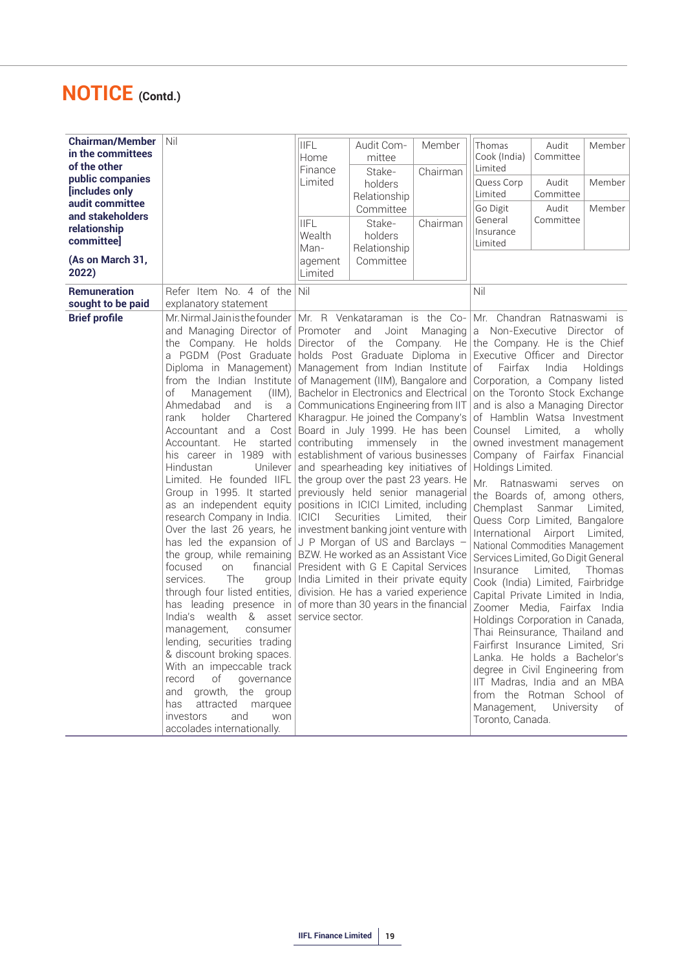| <b>Chairman/Member</b><br>in the committees<br>of the other<br>public companies<br>[includes only<br>audit committee<br>and stakeholders<br>relationship<br>committee] | Nil                                                                                                                                                                                                                                                                                                                                                                                                                                                                                                                                                                                                                                                                                                                                                                                                                                                                                                                                                      | <b>IIFL</b><br>Home<br>Finance<br>Limited<br><b>IIFL</b><br>Wealth<br>Man-                                                                                                                                                                                                                                                                                                                                                                                                                                                                                                                                                                                                                                                                                                                                                                                                                                                                                                                                         | Audit Com-<br>mittee<br>Stake-<br>holders<br>Relationship<br>Committee<br>Stake-<br>holders<br>Relationship | Member<br>Chairman<br>Chairman | Thomas<br>Cook (India)<br>Limited<br>Quess Corp<br>Limited<br>Go Digit<br>General<br>Insurance<br>Limited                                                                                                                                                                                                                                                                                                                                                                                                                                                                                                                                                                                                                                                                                                                                                                                                   | Audit<br>Committee<br>Audit<br>Committee<br>Audit<br>Committee            | Member<br>Member<br>Member                                      |
|------------------------------------------------------------------------------------------------------------------------------------------------------------------------|----------------------------------------------------------------------------------------------------------------------------------------------------------------------------------------------------------------------------------------------------------------------------------------------------------------------------------------------------------------------------------------------------------------------------------------------------------------------------------------------------------------------------------------------------------------------------------------------------------------------------------------------------------------------------------------------------------------------------------------------------------------------------------------------------------------------------------------------------------------------------------------------------------------------------------------------------------|--------------------------------------------------------------------------------------------------------------------------------------------------------------------------------------------------------------------------------------------------------------------------------------------------------------------------------------------------------------------------------------------------------------------------------------------------------------------------------------------------------------------------------------------------------------------------------------------------------------------------------------------------------------------------------------------------------------------------------------------------------------------------------------------------------------------------------------------------------------------------------------------------------------------------------------------------------------------------------------------------------------------|-------------------------------------------------------------------------------------------------------------|--------------------------------|-------------------------------------------------------------------------------------------------------------------------------------------------------------------------------------------------------------------------------------------------------------------------------------------------------------------------------------------------------------------------------------------------------------------------------------------------------------------------------------------------------------------------------------------------------------------------------------------------------------------------------------------------------------------------------------------------------------------------------------------------------------------------------------------------------------------------------------------------------------------------------------------------------------|---------------------------------------------------------------------------|-----------------------------------------------------------------|
| (As on March 31,<br>2022)                                                                                                                                              |                                                                                                                                                                                                                                                                                                                                                                                                                                                                                                                                                                                                                                                                                                                                                                                                                                                                                                                                                          | Limited                                                                                                                                                                                                                                                                                                                                                                                                                                                                                                                                                                                                                                                                                                                                                                                                                                                                                                                                                                                                            |                                                                                                             |                                |                                                                                                                                                                                                                                                                                                                                                                                                                                                                                                                                                                                                                                                                                                                                                                                                                                                                                                             |                                                                           |                                                                 |
| <b>Remuneration</b><br>sought to be paid<br><b>Brief profile</b>                                                                                                       | Refer Item No. 4 of the<br>explanatory statement<br>Mr. Nirmal Jain is the founder<br>and Managing Director of<br>the Company. He holds<br>a PGDM (Post Graduate<br>Diploma in Management)<br>from the Indian Institute<br>of<br>Management<br>$(IIM)$ ,<br>Ahmedabad<br>and<br>is<br>a<br>holder<br>rank<br>Chartered<br>Accountant and a Cost<br>He<br>started<br>Accountant.<br>his career in 1989 with<br>Hindustan<br>Unilever<br>Limited. He founded IIFL<br>Group in 1995. It started<br>as an independent equity<br>research Company in India.<br>Over the last 26 years, he<br>has led the expansion of<br>the group, while remaining<br>focused<br>financial<br>on<br>services.<br><b>The</b><br>group<br>through four listed entities,<br>has leading presence in<br>India's wealth & asset<br>management,<br>consumer<br>lending, securities trading<br>& discount broking spaces.<br>With an impeccable track<br>record<br>of<br>governance | Committee<br>agement<br>Nil<br>Mr. R Venkataraman is the Co-<br>Promoter<br>Managing<br>and<br>Joint<br>Director of the Company. He<br>holds Post Graduate Diploma in<br>Management from Indian Institute<br>of Management (IIM), Bangalore and<br>Bachelor in Electronics and Electrical<br>Communications Engineering from IIT<br>Kharagpur. He joined the Company's<br>Board in July 1999. He has been<br>contributing<br>immensely<br>in<br>the<br>establishment of various businesses<br>and spearheading key initiatives of<br>the group over the past 23 years. He<br>previously held senior managerial<br>positions in ICICI Limited, including<br>Securities<br><b>ICICI</b><br>Limited,<br>their<br>investment banking joint venture with<br>J P Morgan of US and Barclays -<br>BZW. He worked as an Assistant Vice<br>President with G E Capital Services<br>India Limited in their private equity<br>division. He has a varied experience<br>of more than 30 years in the financial<br>service sector. |                                                                                                             |                                | Nil<br>Mr. Chandran Ratnaswami is<br>a<br>the Company. He is the Chief<br>Executive Officer and Director<br>of<br>Fairfax<br>Corporation, a Company listed<br>on the Toronto Stock Exchange<br>and is also a Managing Director<br>of Hamblin Watsa Investment<br>Counsel<br>owned investment management<br>Company of Fairfax Financial<br>Holdings Limited.<br>Mr<br>Ratnaswami<br>the Boards of, among others,<br>Chemplast<br>Quess Corp Limited, Bangalore<br>International Airport Limited,<br>National Commodities Management<br>Services Limited, Go Digit General<br>Insurance<br>Cook (India) Limited, Fairbridge<br>Capital Private Limited in India,<br>Zoomer Media, Fairfax India<br>Holdings Corporation in Canada,<br>Thai Reinsurance, Thailand and<br>Fairfirst Insurance Limited, Sri<br>Lanka. He holds a Bachelor's<br>degree in Civil Engineering from<br>IIT Madras, India and an MBA | Non-Executive Director of<br>India<br>Limited.<br>a<br>Sanmar<br>Limited. | Holdings<br>wholly<br>serves<br><b>on</b><br>Limited,<br>Thomas |
|                                                                                                                                                                        | and<br>growth, the group<br>has<br>attracted marquee<br>investors<br>and<br>won<br>accolades internationally.                                                                                                                                                                                                                                                                                                                                                                                                                                                                                                                                                                                                                                                                                                                                                                                                                                            |                                                                                                                                                                                                                                                                                                                                                                                                                                                                                                                                                                                                                                                                                                                                                                                                                                                                                                                                                                                                                    |                                                                                                             |                                | from the Rotman School of<br>Management,<br>Toronto, Canada.                                                                                                                                                                                                                                                                                                                                                                                                                                                                                                                                                                                                                                                                                                                                                                                                                                                | University                                                                | of                                                              |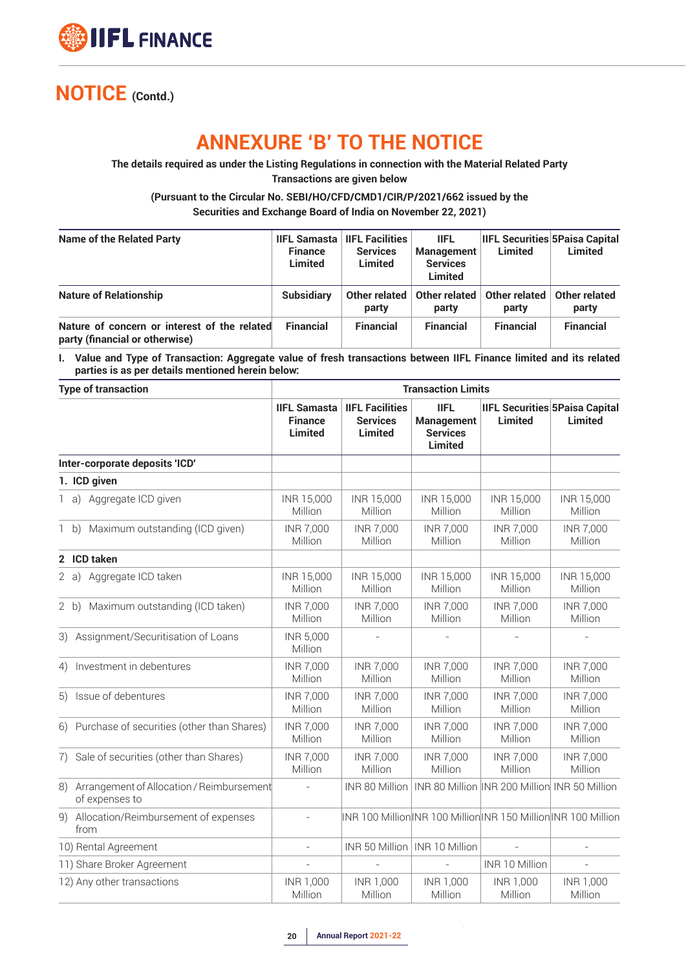

## **ANNEXURE 'B' TO THE NOTICE**

**The details required as under the Listing Regulations in connection with the Material Related Party Transactions are given below**

**(Pursuant to the Circular No. SEBI/HO/CFD/CMD1/CIR/P/2021/662 issued by the Securities and Exchange Board of India on November 22, 2021)**

| <b>Name of the Related Party</b>                                               | <b>Finance</b><br>Limited | <b>IIFL Samasta   IIFL Facilities</b><br><b>Services</b><br>Limited | <b>IIFL</b><br><b>Management</b><br><b>Services</b><br>Limited | Limited                | <b>IIFL Securities 5Paisa Capital</b><br>Limited |
|--------------------------------------------------------------------------------|---------------------------|---------------------------------------------------------------------|----------------------------------------------------------------|------------------------|--------------------------------------------------|
| <b>Nature of Relationship</b>                                                  | <b>Subsidiary</b>         | party                                                               | Other related   Other related  <br>party                       | Other related<br>party | Other related<br>party                           |
| Nature of concern or interest of the related<br>party (financial or otherwise) | <b>Financial</b>          | <b>Financial</b>                                                    | <b>Financial</b>                                               | <b>Financial</b>       | <b>Financial</b>                                 |

**I. Value and Type of Transaction: Aggregate value of fresh transactions between IIFL Finance limited and its related parties is as per details mentioned herein below:**

| <b>Type of transaction</b>                                     | <b>Transaction Limits</b>                               |                                                             |                                                                       |                                               |                                                                 |  |  |  |
|----------------------------------------------------------------|---------------------------------------------------------|-------------------------------------------------------------|-----------------------------------------------------------------------|-----------------------------------------------|-----------------------------------------------------------------|--|--|--|
|                                                                | <b>IIFL Samasta</b><br><b>Finance</b><br><b>Limited</b> | <b>IIFL Facilities</b><br><b>Services</b><br><b>Limited</b> | <b>IIFL</b><br><b>Management</b><br><b>Services</b><br><b>Limited</b> | <b>Limited</b>                                | <b>IIFL Securities 5Paisa Capital</b><br>Limited                |  |  |  |
| Inter-corporate deposits 'ICD'                                 |                                                         |                                                             |                                                                       |                                               |                                                                 |  |  |  |
| 1. ICD given                                                   |                                                         |                                                             |                                                                       |                                               |                                                                 |  |  |  |
| 1 a) Aggregate ICD given                                       | INR 15,000<br>Million                                   | INR 15,000<br>Million                                       | INR 15,000<br>Million                                                 | INR 15,000<br>Million                         | INR 15,000<br>Million                                           |  |  |  |
| 1 b) Maximum outstanding (ICD given)                           | <b>INR 7,000</b><br>Million                             | <b>INR 7,000</b><br>Million                                 | <b>INR 7,000</b><br>Million                                           | <b>INR 7,000</b><br>Million                   | <b>INR 7,000</b><br>Million                                     |  |  |  |
| 2 ICD taken                                                    |                                                         |                                                             |                                                                       |                                               |                                                                 |  |  |  |
| 2 a) Aggregate ICD taken                                       | INR 15,000<br>Million                                   | INR 15,000<br>Million                                       | INR 15,000<br>Million                                                 | INR 15,000<br>Million                         | INR 15,000<br>Million                                           |  |  |  |
| 2 b) Maximum outstanding (ICD taken)                           | <b>INR 7,000</b><br>Million                             | INR 7,000<br>Million                                        | <b>INR 7,000</b><br>Million                                           | <b>INR 7,000</b><br>Million                   | <b>INR 7,000</b><br>Million                                     |  |  |  |
| 3) Assignment/Securitisation of Loans                          | INR 5,000<br>Million                                    |                                                             |                                                                       |                                               |                                                                 |  |  |  |
| Investment in debentures<br>4)                                 | <b>INR 7,000</b><br>Million                             | INR 7,000<br>Million                                        | <b>INR 7,000</b><br>Million                                           | <b>INR 7,000</b><br>Million                   | <b>INR 7,000</b><br>Million                                     |  |  |  |
| 5) Issue of debentures                                         | <b>INR 7,000</b><br>Million                             | INR 7,000<br>Million                                        | <b>INR 7,000</b><br>Million                                           | <b>INR 7,000</b><br>Million                   | <b>INR 7,000</b><br>Million                                     |  |  |  |
| 6) Purchase of securities (other than Shares)                  | <b>INR 7,000</b><br>Million                             | INR 7,000<br>Million                                        | <b>INR 7,000</b><br>Million                                           | <b>INR 7,000</b><br>Million                   | <b>INR 7,000</b><br>Million                                     |  |  |  |
| 7) Sale of securities (other than Shares)                      | <b>INR 7,000</b><br>Million                             | INR 7,000<br>Million                                        | INR 7,000<br>Million                                                  | <b>INR 7,000</b><br>Million                   | <b>INR 7,000</b><br>Million                                     |  |  |  |
| 8) Arrangement of Allocation / Reimbursement<br>of expenses to |                                                         | INR 80 Million                                              |                                                                       | INR 80 Million INR 200 Million INR 50 Million |                                                                 |  |  |  |
| 9) Allocation/Reimbursement of expenses<br>from                | $\equiv$                                                |                                                             |                                                                       |                                               | INR 100 Million INR 100 Million INR 150 Million INR 100 Million |  |  |  |
| 10) Rental Agreement                                           | $\overline{a}$                                          |                                                             | INR 50 Million   INR 10 Million                                       |                                               |                                                                 |  |  |  |
| 11) Share Broker Agreement                                     | $\bar{a}$                                               |                                                             |                                                                       | INR 10 Million                                | $\overline{a}$                                                  |  |  |  |
| 12) Any other transactions                                     | INR 1,000<br>Million                                    | INR 1,000<br>Million                                        | INR 1,000<br>Million                                                  | <b>INR 1,000</b><br>Million                   | <b>INR 1,000</b><br>Million                                     |  |  |  |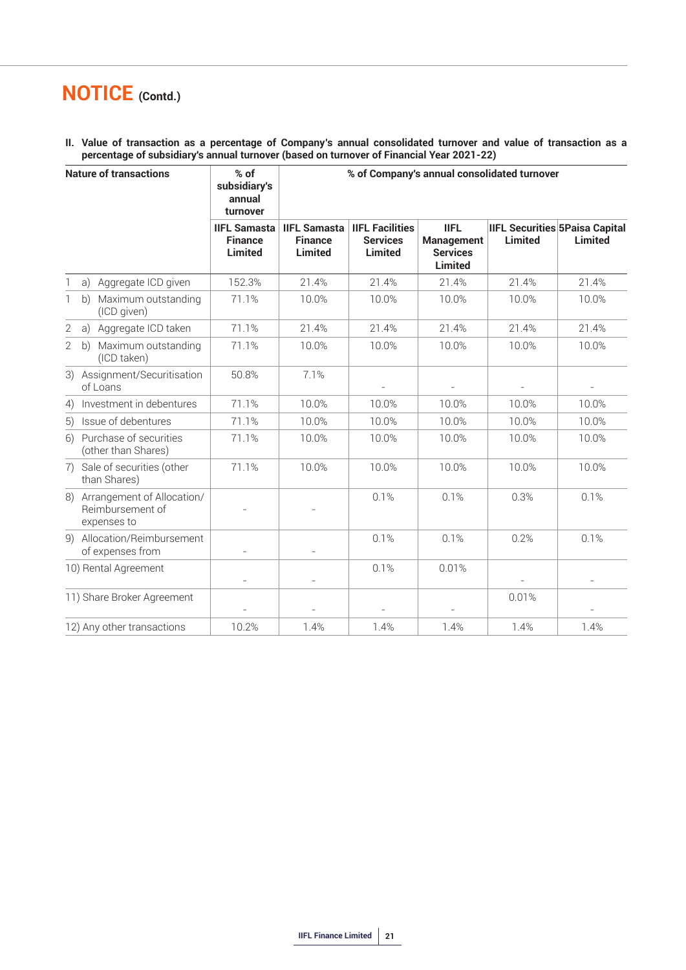**II. Value of transaction as a percentage of Company's annual consolidated turnover and value of transaction as a percentage of subsidiary's annual turnover (based on turnover of Financial Year 2021-22)**

|              | <b>Nature of transactions</b>                                    | $%$ of<br>subsidiary's<br>annual<br>turnover            |                                                         |                                                             | % of Company's annual consolidated turnover                           |                |                                                  |  |
|--------------|------------------------------------------------------------------|---------------------------------------------------------|---------------------------------------------------------|-------------------------------------------------------------|-----------------------------------------------------------------------|----------------|--------------------------------------------------|--|
|              |                                                                  | <b>IIFL Samasta</b><br><b>Finance</b><br><b>Limited</b> | <b>IIFL Samasta</b><br><b>Finance</b><br><b>Limited</b> | <b>IIFL Facilities</b><br><b>Services</b><br><b>Limited</b> | <b>IIFL</b><br><b>Management</b><br><b>Services</b><br><b>Limited</b> | <b>Limited</b> | <b>IIFL Securities 5Paisa Capital</b><br>Limited |  |
| $\mathbb{1}$ | Aggregate ICD given<br>a)                                        | 152.3%                                                  | 21.4%                                                   | 21.4%                                                       | 21.4%                                                                 | 21.4%          | 21.4%                                            |  |
| 1            | Maximum outstanding<br>b)<br>(ICD given)                         | 71.1%                                                   | 10.0%                                                   | 10.0%                                                       | 10.0%                                                                 | 10.0%          | 10.0%                                            |  |
| $\mathbf{2}$ | Aggregate ICD taken<br>a)                                        | 71.1%                                                   | 21.4%                                                   | 21.4%                                                       | 21.4%                                                                 | 21.4%          | 21.4%                                            |  |
| 2            | Maximum outstanding<br>b)<br>(ICD taken)                         | 71.1%                                                   | 10.0%                                                   | 10.0%                                                       | 10.0%                                                                 | 10.0%          | 10.0%                                            |  |
| 3)           | Assignment/Securitisation<br>of Loans                            | 50.8%                                                   | 7.1%                                                    | $\equiv$                                                    | $\overline{\phantom{a}}$                                              | $\bar{a}$      | $\overline{\phantom{a}}$                         |  |
| 4)           | Investment in debentures                                         | 71.1%                                                   | 10.0%                                                   | 10.0%                                                       | 10.0%                                                                 | 10.0%          | 10.0%                                            |  |
| 5)           | Issue of debentures                                              | 71.1%                                                   | 10.0%                                                   | 10.0%                                                       | 10.0%                                                                 | 10.0%          | 10.0%                                            |  |
| 6)           | Purchase of securities<br>(other than Shares)                    | 71.1%                                                   | 10.0%                                                   | 10.0%                                                       | 10.0%                                                                 | 10.0%          | 10.0%                                            |  |
|              | 7) Sale of securities (other<br>than Shares)                     | 71.1%                                                   | 10.0%                                                   | 10.0%                                                       | 10.0%                                                                 | 10.0%          | 10.0%                                            |  |
|              | 8) Arrangement of Allocation/<br>Reimbursement of<br>expenses to |                                                         |                                                         | 0.1%                                                        | 0.1%                                                                  | 0.3%           | 0.1%                                             |  |
|              | 9) Allocation/Reimbursement<br>of expenses from                  |                                                         | $\overline{a}$                                          | 0.1%                                                        | 0.1%                                                                  | 0.2%           | 0.1%                                             |  |
|              | 10) Rental Agreement                                             |                                                         | $\overline{\phantom{m}}$                                | 0.1%                                                        | 0.01%                                                                 |                |                                                  |  |
|              | 11) Share Broker Agreement                                       |                                                         |                                                         |                                                             |                                                                       | 0.01%          |                                                  |  |
|              | 12) Any other transactions                                       | 10.2%                                                   | 1.4%                                                    | 1.4%                                                        | 1.4%                                                                  | 1.4%           | 1.4%                                             |  |